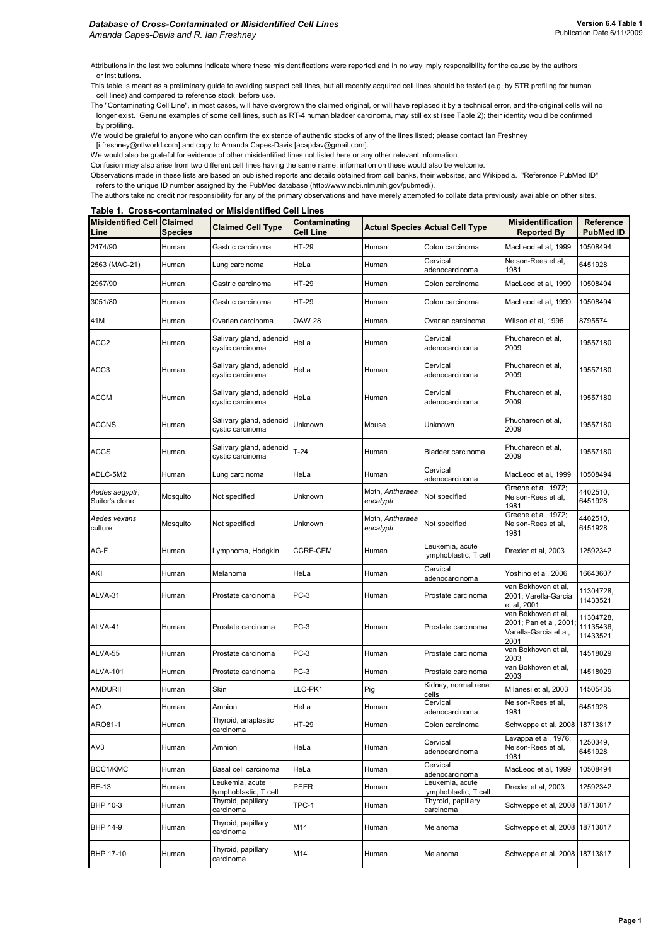Attributions in the last two columns indicate where these misidentifications were reported and in no way imply responsibility for the cause by the authors or institutions.

This table is meant as a preliminary guide to avoiding suspect cell lines, but all recently acquired cell lines should be tested (e.g. by STR profiling for human cell lines) and compared to reference stock before use.

The "Contaminating Cell Line", in most cases, will have overgrown the claimed original, or will have replaced it by a technical error, and the original cells will no longer exist. Genuine examples of some cell lines, such as RT-4 human bladder carcinoma, may still exist (see Table 2); their identity would be confirmed by profiling.

We would be grateful to anyone who can confirm the existence of authentic stocks of any of the lines listed; please contact Ian Freshney

[i.freshney@ntlworld.com] and copy to Amanda Capes-Davis [acapdav@gmail.com].

We would also be grateful for evidence of other misidentified lines not listed here or any other relevant information.

Confusion may also arise from two different cell lines having the same name; information on these would also be welcome.

Observations made in these lists are based on published reports and details obtained from cell banks, their websites, and Wikipedia. "Reference PubMed ID" refers to the unique ID number assigned by the PubMed database (http://www.ncbi.nlm.nih.gov/pubmed/).

The authors take no credit nor responsibility for any of the primary observations and have merely attempted to collate data previously available on other sites. **Table 1. Cross-contaminated or Misidentified Cell Lines**

| <b>Misidentified Cell Claimed</b><br>Line | <b>Species</b> | <b>Claimed Cell Type</b>                    | Contaminating<br><b>Cell Line</b> |                              | <b>Actual Species Actual Cell Type</b>   | <b>Misidentification</b><br><b>Reported By</b>                                 | Reference<br><b>PubMed ID</b>      |
|-------------------------------------------|----------------|---------------------------------------------|-----------------------------------|------------------------------|------------------------------------------|--------------------------------------------------------------------------------|------------------------------------|
| 2474/90                                   | Human          | Gastric carcinoma                           | <b>HT-29</b>                      | Human                        | Colon carcinoma                          | MacLeod et al, 1999                                                            | 10508494                           |
| 2563 (MAC-21)                             | Human          | Lung carcinoma                              | HeLa                              | Human                        | Cervical<br>adenocarcinoma               | Nelson-Rees et al,<br>1981                                                     | 6451928                            |
| 2957/90                                   | Human          | Gastric carcinoma                           | HT-29                             | Human                        | Colon carcinoma                          | MacLeod et al, 1999                                                            | 10508494                           |
| 3051/80                                   | Human          | Gastric carcinoma                           | HT-29                             | Human                        | Colon carcinoma                          | MacLeod et al, 1999                                                            | 10508494                           |
| 41M                                       | Human          | Ovarian carcinoma                           | <b>OAW 28</b>                     | Human                        | Ovarian carcinoma                        | Wilson et al, 1996                                                             | 8795574                            |
| ACC2                                      | Human          | Salivary gland, adenoid<br>cystic carcinoma | HeLa                              | Human                        | Cervical<br>adenocarcinoma               | Phuchareon et al,<br>2009                                                      | 19557180                           |
| ACC3                                      | Human          | Salivary gland, adenoid<br>cystic carcinoma | HeLa                              | Human                        | Cervical<br>adenocarcinoma               | Phuchareon et al,<br>2009                                                      | 19557180                           |
| <b>ACCM</b>                               | Human          | Salivary gland, adenoid<br>cystic carcinoma | HeLa                              | Human                        | Cervical<br>adenocarcinoma               | Phuchareon et al,<br>2009                                                      | 19557180                           |
| <b>ACCNS</b>                              | Human          | Salivary gland, adenoid<br>cystic carcinoma | Unknown                           | Mouse                        | Unknown                                  | Phuchareon et al,<br>2009                                                      | 19557180                           |
| ACCS                                      | Human          | Salivary gland, adenoid<br>cystic carcinoma | $T-24$                            | Human                        | Bladder carcinoma                        | Phuchareon et al,<br>2009                                                      | 19557180                           |
| ADLC-5M2                                  | Human          | Lung carcinoma                              | HeLa                              | Human                        | Cervical<br>adenocarcinoma               | MacLeod et al, 1999                                                            | 10508494                           |
| Aedes aegypti,<br>Suitor's clone          | Mosquito       | Not specified                               | Unknown                           | Moth, Antheraea<br>eucalypti | Not specified                            | Greene et al, 1972;<br>Nelson-Rees et al,<br>1981                              | 4402510,<br>6451928                |
| Aedes vexans<br>culture                   | Mosquito       | Not specified                               | Unknown                           | Moth, Antheraea<br>eucalypti | Not specified                            | Greene et al, 1972;<br>Nelson-Rees et al,<br>1981                              | 4402510,<br>6451928                |
| AG-F                                      | Human          | Lymphoma, Hodgkin                           | <b>CCRF-CEM</b>                   | Human                        | Leukemia, acute<br>lymphoblastic, T cell | Drexler et al, 2003                                                            | 12592342                           |
| AKI                                       | Human          | Melanoma                                    | HeLa                              | Human                        | Cervical<br>adenocarcinoma               | Yoshino et al, 2006                                                            | 16643607                           |
| ALVA-31                                   | Human          | Prostate carcinoma                          | PC-3                              | Human                        | Prostate carcinoma                       | van Bokhoven et al,<br>2001; Varella-Garcia<br>et al, 2001                     | 11304728,<br>11433521              |
| ALVA-41                                   | Human          | Prostate carcinoma                          | $PC-3$                            | Human                        | Prostate carcinoma                       | van Bokhoven et al,<br>2001; Pan et al, 2001;<br>Varella-Garcia et al,<br>2001 | 11304728,<br>11135436,<br>11433521 |
| ALVA-55                                   | Human          | Prostate carcinoma                          | PC-3                              | Human                        | Prostate carcinoma                       | van Bokhoven et al,<br>2003                                                    | 14518029                           |
| <b>ALVA-101</b>                           | Human          | Prostate carcinoma                          | PC-3                              | Human                        | Prostate carcinoma                       | van Bokhoven et al,<br>2003                                                    | 14518029                           |
| AMDURII                                   | Human          | Skin                                        | LLC-PK1                           | Pig                          | Kidney, normal renal<br>cells            | Milanesi et al, 2003                                                           | 14505435                           |
| AO                                        | Human          | Amnion                                      | HeLa                              | Human                        | Cervical<br>adenocarcinoma               | Nelson-Rees et al,<br>1981                                                     | 6451928                            |
| ARO81-1                                   | Human          | Thyroid, anaplastic<br>carcinoma            | HT-29                             | Human                        | Colon carcinoma                          | Schweppe et al, 2008 18713817                                                  |                                    |
| AV3                                       | Human          | Amnion                                      | HeLa                              | Human                        | Cervical<br>adenocarcinoma               | Lavappa et al, 1976;<br>Nelson-Rees et al.<br>1981                             | 1250349,<br>6451928                |
| BCC1/KMC                                  | Human          | Basal cell carcinoma                        | HeLa                              | Human                        | Cervical<br>adenocarcinoma               | MacLeod et al, 1999                                                            | 10508494                           |
| <b>BE-13</b>                              | Human          | Leukemia, acute<br>lymphoblastic, T cell    | PEER                              | Human                        | Leukemia, acute<br>ymphoblastic, T cell  | Drexler et al, 2003                                                            | 12592342                           |
| BHP 10-3                                  | Human          | Thyroid, papillary<br>carcinoma             | TPC-1                             | Human                        | Thyroid, papillary<br>carcinoma          | Schweppe et al, 2008                                                           | 18713817                           |
| <b>BHP 14-9</b>                           | Human          | Thyroid, papillary<br>carcinoma             | M14                               | Human                        | Melanoma                                 | Schweppe et al, 2008 18713817                                                  |                                    |
| BHP 17-10                                 | Human          | Thyroid, papillary<br>carcinoma             | M14                               | Human                        | Melanoma                                 | Schweppe et al, 2008 18713817                                                  |                                    |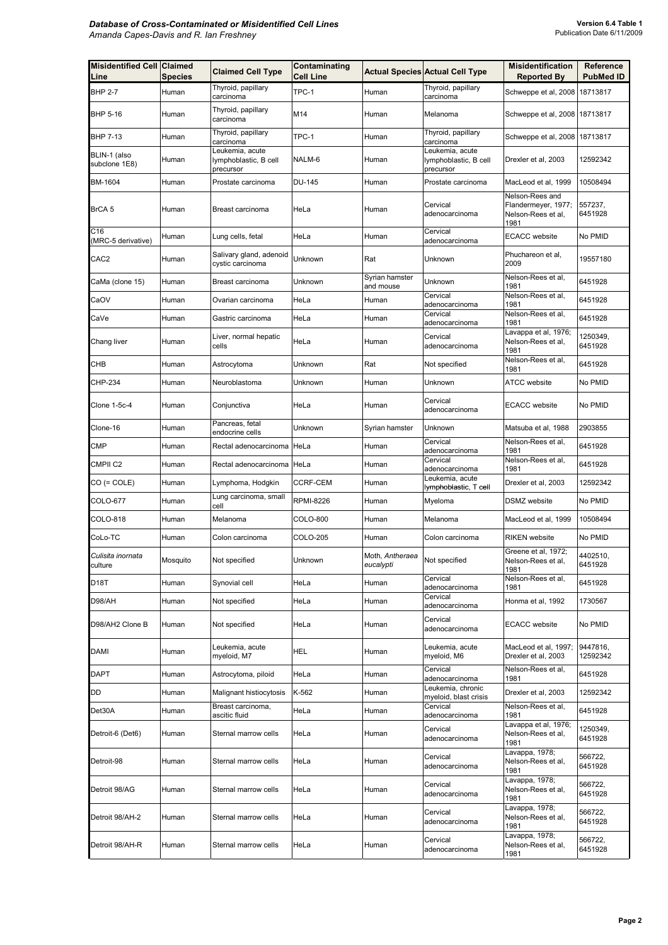| <b>Misidentified Cell Claimed</b><br>Line | <b>Species</b> | <b>Claimed Cell Type</b>                              | Contaminating<br><b>Cell Line</b> |                              | <b>Actual Species Actual Cell Type</b>                | <b>Misidentification</b><br><b>Reported By</b>                       | Reference<br><b>PubMed ID</b> |
|-------------------------------------------|----------------|-------------------------------------------------------|-----------------------------------|------------------------------|-------------------------------------------------------|----------------------------------------------------------------------|-------------------------------|
| <b>BHP 2-7</b>                            | Human          | Thyroid, papillary<br>carcinoma                       | TPC-1                             | Human                        | Thyroid, papillary<br>carcinoma                       | Schweppe et al, 2008                                                 | 18713817                      |
| BHP 5-16                                  | Human          | Thyroid, papillary<br>carcinoma                       | M14                               | Human                        | Melanoma                                              | Schweppe et al, 2008 18713817                                        |                               |
| <b>BHP 7-13</b>                           | Human          | Thyroid, papillary<br>carcinoma                       | TPC-1                             | Human                        | Thyroid, papillary<br>carcinoma                       | Schweppe et al, 2008 18713817                                        |                               |
| BLIN-1 (also<br>subclone 1E8)             | Human          | Leukemia, acute<br>lymphoblastic, B cell<br>precursor | NALM-6                            | Human                        | Leukemia, acute<br>lymphoblastic, B cell<br>precursor | Drexler et al, 2003                                                  | 12592342                      |
| BM-1604                                   | Human          | Prostate carcinoma                                    | DU-145                            | Human                        | Prostate carcinoma                                    | MacLeod et al, 1999                                                  | 10508494                      |
| BrCA <sub>5</sub>                         | Human          | Breast carcinoma                                      | HeLa                              | Human                        | Cervical<br>adenocarcinoma                            | Nelson-Rees and<br>Flandermeyer, 1977;<br>Nelson-Rees et al,<br>1981 | 557237,<br>6451928            |
| C16<br>(MRC-5 derivative)                 | Human          | Lung cells, fetal                                     | HeLa                              | Human                        | Cervical<br>adenocarcinoma                            | <b>ECACC</b> website                                                 | No PMID                       |
| CAC <sub>2</sub>                          | Human          | Salivary gland, adenoid<br>cystic carcinoma           | Unknown                           | Rat                          | Unknown                                               | Phuchareon et al,<br>2009                                            | 19557180                      |
| CaMa (clone 15)                           | Human          | Breast carcinoma                                      | Unknown                           | Syrian hamster<br>and mouse  | Unknown                                               | Nelson-Rees et al.<br>1981                                           | 6451928                       |
| CaOV                                      | Human          | Ovarian carcinoma                                     | HeLa                              | Human                        | Cervical<br>adenocarcinoma                            | Nelson-Rees et al.<br>1981                                           | 6451928                       |
| CaVe                                      | Human          | Gastric carcinoma                                     | HeLa                              | Human                        | Cervical<br>adenocarcinoma                            | Nelson-Rees et al,<br>1981                                           | 6451928                       |
| Chang liver                               | Human          | Liver, normal hepatic<br>cells                        | HeLa                              | Human                        | Cervical<br>adenocarcinoma                            | Lavappa et al, 1976;<br>Nelson-Rees et al,<br>1981                   | 1250349,<br>6451928           |
| СНВ                                       | Human          | Astrocytoma                                           | Unknown                           | Rat                          | Not specified                                         | Nelson-Rees et al,<br>1981                                           | 6451928                       |
| CHP-234                                   | Human          | Neuroblastoma                                         | <b>Unknown</b>                    | Human                        | Unknown                                               | <b>ATCC</b> website                                                  | No PMID                       |
| Clone 1-5c-4                              | Human          | Conjunctiva                                           | HeLa                              | Human                        | Cervical<br>adenocarcinoma                            | <b>ECACC</b> website                                                 | No PMID                       |
| Clone-16                                  | Human          | Pancreas, fetal<br>endocrine cells                    | Unknown                           | Syrian hamster               | Unknown                                               | Matsuba et al, 1988                                                  | 2903855                       |
| CMP                                       | Human          | Rectal adenocarcinoma                                 | HeLa                              | Human                        | Cervical<br>adenocarcinoma                            | Nelson-Rees et al.<br>1981                                           | 6451928                       |
| CMPII <sub>C2</sub>                       | Human          | Rectal adenocarcinoma                                 | HeLa                              | Human                        | Cervical<br>adenocarcinoma                            | Nelson-Rees et al,<br>1981                                           | 6451928                       |
| $CO (= COLE)$                             | Human          | Lymphoma, Hodgkin                                     | <b>CCRF-CEM</b>                   | Human                        | Leukemia, acute<br>lymphoblastic, T cell              | Drexler et al, 2003                                                  | 12592342                      |
| COLO-677                                  | Human          | Lung carcinoma, small<br>cell                         | <b>RPMI-8226</b>                  | Human                        | Myeloma                                               | <b>DSMZ</b> website                                                  | No PMID                       |
| COLO-818                                  | Human          | Melanoma                                              | COLO-800                          | Human                        | Melanoma                                              | MacLeod et al, 1999                                                  | 10508494                      |
| CoLo-TC                                   | Human          | Colon carcinoma                                       | <b>COLO-205</b>                   | Human                        | Colon carcinoma                                       | <b>RIKEN</b> website                                                 | No PMID                       |
| Culisita inornata<br>culture              | Mosquito       | Not specified                                         | Unknown                           | Moth, Antheraea<br>eucalypti | Not specified                                         | Greene et al, 1972;<br>Nelson-Rees et al.<br>1981                    | 4402510,<br>6451928           |
| D18T                                      | Human          | Synovial cell                                         | HeLa                              | Human                        | Cervical<br>adenocarcinoma                            | Nelson-Rees et al,<br>1981                                           | 6451928                       |
| D98/AH                                    | Human          | Not specified                                         | HeLa                              | Human                        | Cervical<br>adenocarcinoma                            | Honma et al, 1992                                                    | 1730567                       |
| D98/AH2 Clone B                           | Human          | Not specified                                         | HeLa                              | Human                        | Cervical<br>adenocarcinoma                            | <b>ECACC</b> website                                                 | No PMID                       |
| <b>DAMI</b>                               | Human          | Leukemia, acute<br>myeloid, M7                        | <b>HEL</b>                        | Human                        | Leukemia, acute<br>myeloid, M6                        | MacLeod et al, 1997;<br>Drexler et al, 2003                          | 9447816,<br>12592342          |
| <b>DAPT</b>                               | Human          | Astrocytoma, piloid                                   | HeLa                              | Human                        | Cervical<br>adenocarcinoma                            | Nelson-Rees et al.<br>1981                                           | 6451928                       |
| DD                                        | Human          | Malignant histiocytosis                               | K-562                             | Human                        | Leukemia, chronic<br>myeloid, blast crisis            | Drexler et al, 2003                                                  | 12592342                      |
| Det30A                                    | Human          | Breast carcinoma,<br>ascitic fluid                    | HeLa                              | Human                        | Cervical<br>adenocarcinoma                            | Nelson-Rees et al,<br>1981                                           | 6451928                       |
| Detroit-6 (Det6)                          | Human          | Sternal marrow cells                                  | HeLa                              | Human                        | Cervical<br>adenocarcinoma                            | Lavappa et al, 1976;<br>Nelson-Rees et al,<br>1981                   | 1250349,<br>6451928           |
| Detroit-98                                | Human          | Sternal marrow cells                                  | HeLa                              | Human                        | Cervical<br>adenocarcinoma                            | Lavappa, 1978;<br>Nelson-Rees et al,<br>1981                         | 566722,<br>6451928            |
| Detroit 98/AG                             | Human          | Sternal marrow cells                                  | HeLa                              | Human                        | Cervical<br>adenocarcinoma                            | Lavappa, 1978;<br>Nelson-Rees et al,<br>1981                         | 566722,<br>6451928            |
| Detroit 98/AH-2                           | Human          | Sternal marrow cells                                  | HeLa                              | Human                        | Cervical<br>adenocarcinoma                            | Lavappa, 1978;<br>Nelson-Rees et al,<br>1981                         | 566722,<br>6451928            |
| Detroit 98/AH-R                           | Human          | Sternal marrow cells                                  | HeLa                              | Human                        | Cervical<br>adenocarcinoma                            | Lavappa, 1978;<br>Nelson-Rees et al,<br>1981                         | 566722,<br>6451928            |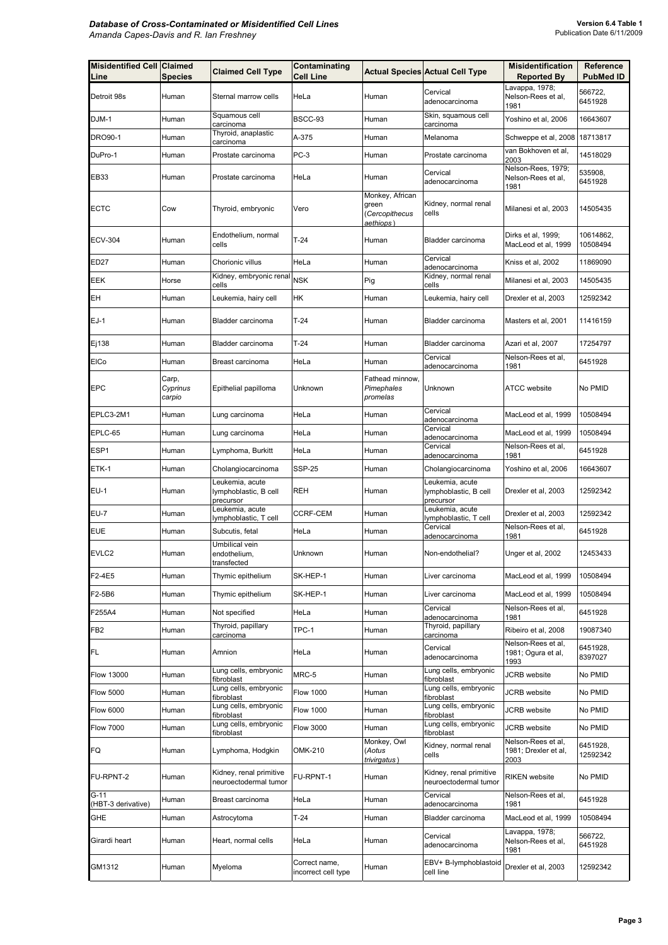| <b>Misidentified Cell Claimed</b><br>Line | <b>Species</b>              | <b>Claimed Cell Type</b>                              | Contaminating<br><b>Cell Line</b>    |                                                         | <b>Actual Species Actual Cell Type</b>                | <b>Misidentification</b><br><b>Reported By</b>     | Reference<br><b>PubMed ID</b> |
|-------------------------------------------|-----------------------------|-------------------------------------------------------|--------------------------------------|---------------------------------------------------------|-------------------------------------------------------|----------------------------------------------------|-------------------------------|
| Detroit 98s                               | Human                       | Sternal marrow cells                                  | HeLa                                 | Human                                                   | Cervical<br>adenocarcinoma                            | Lavappa, 1978;<br>Nelson-Rees et al,<br>1981       | 566722,<br>6451928            |
| DJM-1                                     | Human                       | Squamous cell<br>carcinoma                            | BSCC-93                              | Human                                                   | Skin, squamous cell<br>carcinoma                      | Yoshino et al, 2006                                | 16643607                      |
| <b>DRO90-1</b>                            | Human                       | Thyroid, anaplastic<br>carcinoma                      | A-375                                | Human                                                   | Melanoma                                              | Schweppe et al, 2008                               | 18713817                      |
| DuPro-1                                   | Human                       | Prostate carcinoma                                    | $PC-3$                               | Human                                                   | Prostate carcinoma                                    | van Bokhoven et al,<br>2003                        | 14518029                      |
| EB33                                      | Human                       | Prostate carcinoma                                    | HeLa                                 | Human                                                   | Cervical<br>adenocarcinoma                            | Nelson-Rees, 1979;<br>Nelson-Rees et al.<br>1981   | 535908,<br>6451928            |
| <b>ECTC</b>                               | Cow                         | Thyroid, embryonic                                    | Vero                                 | Monkey, African<br>green<br>(Cercopithecus<br>aethiops) | Kidney, normal renal<br>cells                         | Milanesi et al, 2003                               | 14505435                      |
| <b>ECV-304</b>                            | Human                       | Endothelium, normal<br>cells                          | $T-24$                               | Human                                                   | Bladder carcinoma                                     | Dirks et al, 1999;<br>MacLeod et al, 1999          | 10614862,<br>10508494         |
| ED <sub>27</sub>                          | Human                       | Chorionic villus                                      | HeLa                                 | Human                                                   | Cervical<br>adenocarcinoma                            | Kniss et al, 2002                                  | 11869090                      |
| EEK                                       | Horse                       | Kidney, embryonic renal<br>cells                      | <b>NSK</b>                           | Pig                                                     | Kidney, normal renal<br>cells                         | Milanesi et al, 2003                               | 14505435                      |
| EН                                        | Human                       | Leukemia, hairy cell                                  | HΚ                                   | Human                                                   | Leukemia, hairy cell                                  | Drexler et al, 2003                                | 12592342                      |
| $EJ-1$                                    | Human                       | Bladder carcinoma                                     | $T-24$                               | Human                                                   | Bladder carcinoma                                     | Masters et al, 2001                                | 11416159                      |
| Ej138                                     | Human                       | Bladder carcinoma                                     | $T-24$                               | Human                                                   | Bladder carcinoma                                     | Azari et al, 2007                                  | 17254797                      |
| EICo                                      | Human                       | Breast carcinoma                                      | HeLa                                 | Human                                                   | Cervical<br>adenocarcinoma                            | Nelson-Rees et al,<br>1981                         | 6451928                       |
| <b>EPC</b>                                | Carp,<br>Cyprinus<br>carpio | Epithelial papilloma                                  | Unknown                              | Fathead minnow,<br>Pimephales<br>promelas               | Unknown                                               | <b>ATCC</b> website                                | No PMID                       |
| EPLC3-2M1                                 | Human                       | Lung carcinoma                                        | HeLa                                 | Human                                                   | Cervical<br>adenocarcinoma                            | MacLeod et al, 1999                                | 10508494                      |
| EPLC-65                                   | Human                       | Lung carcinoma                                        | HeLa                                 | Human                                                   | Cervical<br>adenocarcinoma                            | MacLeod et al, 1999                                | 10508494                      |
| ESP1                                      | Human                       | Lymphoma, Burkitt                                     | HeLa                                 | Human                                                   | Cervical<br>adenocarcinoma                            | Nelson-Rees et al,<br>1981                         | 6451928                       |
| ETK-1                                     | Human                       | Cholangiocarcinoma                                    | <b>SSP-25</b>                        | Human                                                   | Cholangiocarcinoma                                    | Yoshino et al, 2006                                | 16643607                      |
| <b>EU-1</b>                               | Human                       | Leukemia, acute<br>lymphoblastic, B cell<br>precursor | REH                                  | Human                                                   | Leukemia, acute<br>lymphoblastic, B cell<br>precursor | Drexler et al, 2003                                | 12592342                      |
| EU-7                                      | Human                       | Leukemia, acute<br>ymphoblastic, T cell               | CCRF-CEM                             | Human                                                   | eukemia, acute<br>ymphoblastic, T cell                | Drexler et al, 2003                                | 12592342                      |
| <b>EUE</b>                                | Human                       | Subcutis, fetal                                       | HeLa                                 | Human                                                   | Cervical<br>adenocarcinoma                            | Nelson-Rees et al,<br>1981                         | 6451928                       |
| EVLC2                                     | Human                       | Umbilical vein<br>endothelium,<br>transfected         | Unknown                              | Human                                                   | Non-endothelial?                                      | Unger et al, 2002                                  | 12453433                      |
| F2-4E5                                    | Human                       | Thymic epithelium                                     | SK-HEP-1                             | Human                                                   | Liver carcinoma                                       | MacLeod et al, 1999                                | 10508494                      |
| F2-5B6                                    | Human                       | Thymic epithelium                                     | SK-HEP-1                             | Human                                                   | Liver carcinoma                                       | MacLeod et al, 1999                                | 10508494                      |
| F255A4                                    | Human                       | Not specified                                         | HeLa                                 | Human                                                   | Cervical<br>adenocarcinoma                            | Nelson-Rees et al.<br>1981                         | 6451928                       |
| FB <sub>2</sub>                           | Human                       | Thyroid, papillary<br>carcinoma                       | TPC-1                                | Human                                                   | Thyroid, papillary<br>carcinoma                       | Ribeiro et al, 2008                                | 19087340                      |
| FL                                        | Human                       | Amnion                                                | HeLa                                 | Human                                                   | Cervical<br>adenocarcinoma                            | Nelson-Rees et al,<br>1981; Ogura et al,<br>1993   | 6451928,<br>8397027           |
| Flow 13000                                | Human                       | Lung cells, embryonic<br>fibroblast                   | MRC-5                                | Human                                                   | Lung cells, embryonic<br>fibroblast                   | <b>JCRB</b> website                                | No PMID                       |
| <b>Flow 5000</b>                          | Human                       | Lung cells, embryonic<br>fibroblast                   | <b>Flow 1000</b>                     | Human                                                   | Lung cells, embryonic<br>fibroblast                   | JCRB website                                       | No PMID                       |
| <b>Flow 6000</b>                          | Human                       | Lung cells, embryonic<br>fibroblast                   | <b>Flow 1000</b>                     | Human                                                   | ung cells, embryonic<br>fibroblast                    | JCRB website                                       | No PMID                       |
| <b>Flow 7000</b>                          | Human                       | Lung cells, embryonic<br>fibroblast                   | <b>Flow 3000</b>                     | Human                                                   | Lung cells, embryonic<br>fibroblast                   | <b>JCRB</b> website                                | No PMID                       |
| FQ                                        | Human                       | Lymphoma, Hodgkin                                     | OMK-210                              | Monkey, Owl<br>(Aotus<br>trivirgatus)                   | Kidney, normal renal<br>cells                         | Nelson-Rees et al,<br>1981; Drexler et al,<br>2003 | 6451928,<br>12592342          |
| FU-RPNT-2                                 | Human                       | Kidney, renal primitive<br>neuroectodermal tumor      | FU-RPNT-1                            | Human                                                   | Kidney, renal primitive<br>neuroectodermal tumor      | <b>RIKEN</b> website                               | No PMID                       |
| $G-11$<br>(HBT-3 derivative)              | Human                       | Breast carcinoma                                      | HeLa                                 | Human                                                   | Cervical<br>adenocarcinoma                            | Nelson-Rees et al,<br>1981                         | 6451928                       |
| GHE                                       | Human                       | Astrocytoma                                           | $T-24$                               | Human                                                   | Bladder carcinoma                                     | MacLeod et al, 1999                                | 10508494                      |
| Girardi heart                             | Human                       | Heart, normal cells                                   | HeLa                                 | Human                                                   | Cervical<br>adenocarcinoma                            | Lavappa, 1978;<br>Nelson-Rees et al,<br>1981       | 566722,<br>6451928            |
| GM1312                                    | Human                       | Myeloma                                               | Correct name,<br>incorrect cell type | Human                                                   | EBV+ B-lymphoblastoid<br>cell line                    | Drexler et al, 2003                                | 12592342                      |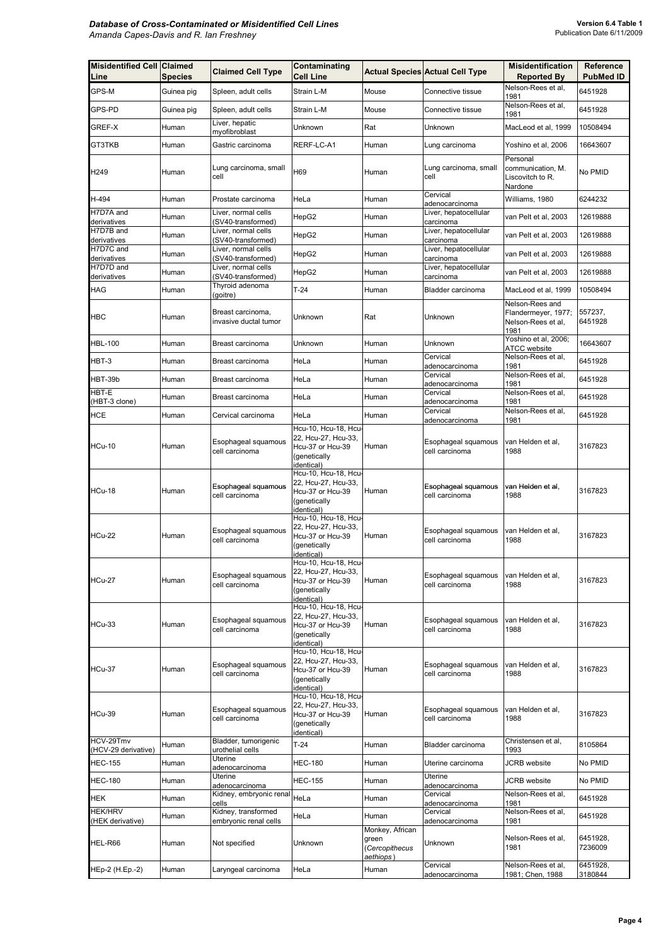| <b>Misidentified Cell Claimed</b><br>Line | <b>Species</b> | <b>Claimed Cell Type</b>                   | Contaminating<br><b>Cell Line</b>                                                                                    |                                                         | <b>Actual Species Actual Cell Type</b> | <b>Misidentification</b><br><b>Reported By</b>               | <b>Reference</b><br><b>PubMed ID</b> |
|-------------------------------------------|----------------|--------------------------------------------|----------------------------------------------------------------------------------------------------------------------|---------------------------------------------------------|----------------------------------------|--------------------------------------------------------------|--------------------------------------|
| GPS-M                                     | Guinea pig     | Spleen, adult cells                        | Strain L-M                                                                                                           | Mouse                                                   | Connective tissue                      | Nelson-Rees et al,                                           | 6451928                              |
| GPS-PD                                    | Guinea pig     | Spleen, adult cells                        | Strain L-M                                                                                                           | Mouse                                                   | Connective tissue                      | 1981<br>Nelson-Rees et al,<br>1981                           | 6451928                              |
| GREF-X                                    | Human          | Liver, hepatic<br>myofibroblast            | Unknown                                                                                                              | Rat                                                     | Unknown                                | MacLeod et al. 1999                                          | 10508494                             |
| GT3TKB                                    | Human          | Gastric carcinoma                          | RERF-LC-A1                                                                                                           | Human                                                   | Lung carcinoma                         | Yoshino et al, 2006                                          | 16643607                             |
| H <sub>249</sub>                          | Human          | Lung carcinoma, small<br>cell              | H69                                                                                                                  | Human                                                   | Lung carcinoma, small<br>cell          | Personal<br>communication, M.<br>Liscovitch to R.<br>Nardone | No PMID                              |
| H-494                                     | Human          | Prostate carcinoma                         | HeLa                                                                                                                 | Human                                                   | Cervical<br>adenocarcinoma             | Williams, 1980                                               | 6244232                              |
| H7D7A and<br>derivatives                  | Human          | Liver, normal cells<br>(SV40-transformed)  | HepG2                                                                                                                | Human                                                   | Liver, hepatocellular<br>carcinoma     | van Pelt et al, 2003                                         | 12619888                             |
| H7D7B and<br>derivatives                  | Human          | Liver, normal cells<br>(SV40-transformed)  | HepG2                                                                                                                | Human                                                   | Liver, hepatocellular<br>carcinoma     | van Pelt et al, 2003                                         | 12619888                             |
| H7D7C and                                 | Human          | Liver, normal cells                        | HepG2                                                                                                                | Human                                                   | Liver, hepatocellular                  | van Pelt et al, 2003                                         | 12619888                             |
| derivatives<br>H7D7D and                  | Human          | (SV40-transformed)<br>Liver, normal cells  | HepG2                                                                                                                | Human                                                   | carcinoma<br>Liver, hepatocellular     | van Pelt et al, 2003                                         | 12619888                             |
| derivatives<br><b>HAG</b>                 | Human          | (SV40-transformed)<br>Thyroid adenoma      | $T-24$                                                                                                               | Human                                                   | carcinoma<br>Bladder carcinoma         | MacLeod et al. 1999                                          | 10508494                             |
|                                           |                | (goitre)                                   |                                                                                                                      |                                                         |                                        | Nelson-Rees and                                              |                                      |
| <b>HBC</b>                                | Human          | Breast carcinoma,<br>invasive ductal tumor | Unknown                                                                                                              | Rat                                                     | Unknown                                | Flandermeyer, 1977;<br>Nelson-Rees et al,<br>1981            | 557237,<br>6451928                   |
| <b>HBL-100</b>                            | Human          | Breast carcinoma                           | Unknown                                                                                                              | Human                                                   | Unknown                                | Yoshino et al, 2006;<br>ATCC website                         | 16643607                             |
| HBT-3                                     | Human          | Breast carcinoma                           | HeLa                                                                                                                 | Human                                                   | Cervical<br>adenocarcinoma             | Nelson-Rees et al,<br>1981                                   | 6451928                              |
| HBT-39b                                   | Human          | Breast carcinoma                           | HeLa                                                                                                                 | Human                                                   | Cervical<br>adenocarcinoma             | Nelson-Rees et al,<br>1981                                   | 6451928                              |
| HBT-E<br>(HBT-3 clone)                    | Human          | Breast carcinoma                           | HeLa                                                                                                                 | Human                                                   | Cervical<br>adenocarcinoma             | Nelson-Rees et al,<br>1981                                   | 6451928                              |
| <b>HCE</b>                                | Human          | Cervical carcinoma                         | HeLa                                                                                                                 | Human                                                   | Cervical<br>adenocarcinoma             | Nelson-Rees et al,<br>1981                                   | 6451928                              |
| <b>HCu-10</b>                             | Human          | Esophageal squamous<br>cell carcinoma      | Hcu-10, Hcu-18, Hcu-<br>22, Hcu-27, Hcu-33,<br>Hcu-37 or Hcu-39<br>(genetically<br>identical)                        | Human                                                   | Esophageal squamous<br>cell carcinoma  | van Helden et al.<br>1988                                    | 3167823                              |
| <b>HCu-18</b>                             | Human          | Esophageal squamous<br>cell carcinoma      | Hcu-10, Hcu-18, Hcu-<br>22, Hcu-27, Hcu-33,<br>Hcu-37 or Hcu-39<br>(genetically<br>identical)                        | Human                                                   | Esophageal squamous<br>cell carcinoma  | van Helden et al.<br>1988                                    | 3167823                              |
| <b>HCu-22</b>                             | Human          | Esophageal squamous<br>cell carcinoma      | Hcu-10, Hcu-18, Hcu-<br>22, Hcu-27, Hcu-33,<br>Hcu-37 or Hcu-39<br>(genetically<br>identical)                        | Human                                                   | Esophageal squamous<br>cell carcinoma  | van Helden et al.<br>1988                                    | 3167823                              |
| <b>HCu-27</b>                             | Human          | Esophageal squamous<br>cell carcinoma      | Hcu-10, Hcu-18, Hcu<br>22, Hcu-27, Hcu-33,<br>Hcu-37 or Hcu-39<br>(genetically<br>identical)<br>Hcu-10, Hcu-18, Hcu- | Human                                                   | Esophageal squamous<br>cell carcinoma  | van Helden et al,<br>1988                                    | 3167823                              |
| <b>HCu-33</b>                             | Human          | Esophageal squamous<br>cell carcinoma      | 22, Hcu-27, Hcu-33,<br>Hcu-37 or Hcu-39<br>(genetically<br>identical)                                                | Human                                                   | Esophageal squamous<br>cell carcinoma  | van Helden et al.<br>1988                                    | 3167823                              |
| <b>HCu-37</b>                             | Human          | Esophageal squamous<br>cell carcinoma      | Hcu-10, Hcu-18, Hcu-<br>22, Hcu-27, Hcu-33,<br>Hcu-37 or Hcu-39<br>(genetically<br>identical)                        | Human                                                   | Esophageal squamous<br>cell carcinoma  | van Helden et al,<br>1988                                    | 3167823                              |
| HCu-39                                    | Human          | Esophageal squamous<br>cell carcinoma      | Hcu-10, Hcu-18, Hcu-<br>22, Hcu-27, Hcu-33,<br>Hcu-37 or Hcu-39<br>(genetically<br>identical)                        | Human                                                   | Esophageal squamous<br>cell carcinoma  | van Helden et al,<br>1988                                    | 3167823                              |
| HCV-29Tmv<br>(HCV-29 derivative)          | Human          | Bladder, tumorigenic<br>urothelial cells   | $T-24$                                                                                                               | Human                                                   | Bladder carcinoma                      | Christensen et al,<br>1993                                   | 8105864                              |
| <b>HEC-155</b>                            | Human          | Uterine<br>adenocarcinoma                  | <b>HEC-180</b>                                                                                                       | Human                                                   | Uterine carcinoma                      | <b>JCRB</b> website                                          | No PMID                              |
| <b>HEC-180</b>                            | Human          | Uterine<br>adenocarcinoma                  | <b>HEC-155</b>                                                                                                       | Human                                                   | Uterine<br>adenocarcinoma              | JCRB website                                                 | No PMID                              |
| HEK                                       | Human          | Kidney, embryonic renal<br>cells           | HeLa                                                                                                                 | Human                                                   | Cervical<br>adenocarcinoma             | Nelson-Rees et al,<br>1981                                   | 6451928                              |
| <b>HEK/HRV</b>                            | Human          | Kidney, transformed                        | HeLa                                                                                                                 | Human                                                   | Cervical                               | Nelson-Rees et al,                                           | 6451928                              |
| (HEK derivative)<br>HEL-R66               | Human          | embryonic renal cells<br>Not specified     | Unknown                                                                                                              | Monkey, African<br>green<br>(Cercopithecus<br>aethiops) | adenocarcinoma<br>Unknown              | 1981<br>Nelson-Rees et al,<br>1981                           | 6451928,<br>7236009                  |
| HEp-2 (H.Ep.-2)                           | Human          | Laryngeal carcinoma                        | HeLa                                                                                                                 | Human                                                   | Cervical<br>adenocarcinoma             | Nelson-Rees et al,<br>1981; Chen, 1988                       | 6451928,<br>3180844                  |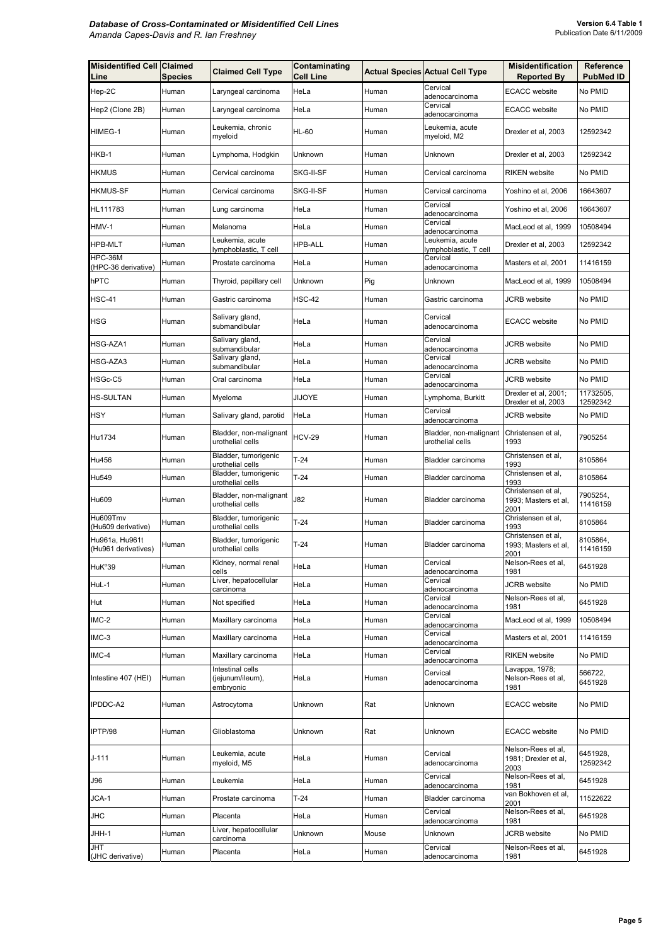| <b>Misidentified Cell Claimed</b><br>Line | <b>Species</b> | <b>Claimed Cell Type</b>                          | Contaminating<br><b>Cell Line</b> |       | <b>Actual Species Actual Cell Type</b>     | <b>Misidentification</b><br><b>Reported By</b>     | Reference<br><b>PubMed ID</b> |
|-------------------------------------------|----------------|---------------------------------------------------|-----------------------------------|-------|--------------------------------------------|----------------------------------------------------|-------------------------------|
| Hep-2C                                    | Human          | Laryngeal carcinoma                               | HeLa                              | Human | Cervical<br>adenocarcinoma                 | <b>ECACC</b> website                               | No PMID                       |
| Hep2 (Clone 2B)                           | Human          | Laryngeal carcinoma                               | HeLa                              | Human | Cervical<br>adenocarcinoma                 | <b>ECACC</b> website                               | No PMID                       |
| HIMEG-1                                   | Human          | Leukemia, chronic<br>myeloid                      | <b>HL-60</b>                      | Human | Leukemia, acute<br>myeloid, M2             | Drexler et al, 2003                                | 12592342                      |
| HKB-1                                     | Human          | Lymphoma, Hodgkin                                 | Unknown                           | Human | Unknown                                    | Drexler et al, 2003                                | 12592342                      |
| <b>HKMUS</b>                              | Human          | Cervical carcinoma                                | SKG-II-SF                         | Human | Cervical carcinoma                         | <b>RIKEN</b> website                               | No PMID                       |
| <b>HKMUS-SF</b>                           | Human          | Cervical carcinoma                                | SKG-II-SF                         | Human | Cervical carcinoma                         | Yoshino et al, 2006                                | 16643607                      |
| HL111783                                  | Human          | Lung carcinoma                                    | HeLa                              | Human | Cervical<br>adenocarcinoma                 | Yoshino et al, 2006                                | 16643607                      |
| HMV-1                                     | Human          | Melanoma                                          | HeLa                              | Human | Cervical<br>adenocarcinoma                 | MacLeod et al, 1999                                | 10508494                      |
| <b>HPB-MLT</b>                            | Human          | Leukemia, acute<br>lymphoblastic, T cell          | <b>HPB-ALL</b>                    | Human | Leukemia, acute<br>ymphoblastic, T cell    | Drexler et al, 2003                                | 12592342                      |
| HPC-36M<br>(HPC-36 derivative)            | Human          | Prostate carcinoma                                | HeLa                              | Human | Cervical<br>adenocarcinoma                 | Masters et al, 2001                                | 11416159                      |
| hPTC                                      | Human          | Thyroid, papillary cell                           | Unknown                           | Pig   | Unknown                                    | MacLeod et al, 1999                                | 10508494                      |
| <b>HSC-41</b>                             | Human          | Gastric carcinoma                                 | <b>HSC-42</b>                     | Human | Gastric carcinoma                          | JCRB website                                       | No PMID                       |
| <b>HSG</b>                                | Human          | Salivary gland,<br>submandibular                  | HeLa                              | Human | Cervical<br>adenocarcinoma                 | <b>ECACC</b> website                               | No PMID                       |
| HSG-AZA1                                  | Human          | Salivary gland,<br>submandibular                  | HeLa                              | Human | Cervical<br>adenocarcinoma                 | JCRB website                                       | No PMID                       |
| HSG-AZA3                                  | Human          | Salivary gland,<br>submandibular                  | HeLa                              | Human | Cervical<br>adenocarcinoma                 | JCRB website                                       | No PMID                       |
| HSGc-C5                                   | Human          | Oral carcinoma                                    | HeLa                              | Human | Cervical<br>adenocarcinoma                 | JCRB website                                       | No PMID                       |
| <b>HS-SULTAN</b>                          | Human          | Myeloma                                           | JIJOYE                            | Human | Lymphoma, Burkitt                          | Drexler et al, 2001;<br>Drexler et al, 2003        | 11732505,<br>12592342         |
| <b>HSY</b>                                | Human          | Salivary gland, parotid                           | HeLa                              | Human | Cervical<br>adenocarcinoma                 | <b>JCRB</b> website                                | No PMID                       |
| Hu1734                                    | Human          | Bladder, non-malignant<br>urothelial cells        | <b>HCV-29</b>                     | Human | Bladder, non-malignant<br>urothelial cells | Christensen et al,<br>1993                         | 7905254                       |
| Hu456                                     | Human          | Bladder, tumorigenic<br>urothelial cells          | $T-24$                            | Human | Bladder carcinoma                          | Christensen et al,<br>1993                         | 8105864                       |
| Hu549                                     | Human          | Bladder, tumorigenic<br>urothelial cells          | $T-24$                            | Human | Bladder carcinoma                          | Christensen et al,<br>1993                         | 8105864                       |
| Hu609                                     | Human          | Bladder, non-malignant<br>urothelial cells        | J82                               | Human | <b>Bladder carcinoma</b>                   | Christensen et al,<br>1993; Masters et al,<br>2001 | 7905254,<br>11416159          |
| Hu609Tmv<br>(Hu609 derivative)            | Human          | Bladder, tumorigenic<br>urothelial cells          | $T-24$                            | Human | Bladder carcinoma                          | Christensen et al,<br>1993                         | 8105864                       |
| Hu961a, Hu961t<br>(Hu961 derivatives)     | Human          | Bladder, tumorigenic<br>urothelial cells          | $T-24$                            | Human | Bladder carcinoma                          | Christensen et al,<br>1993; Masters et al,<br>2001 | 8105864,<br>11416159          |
| HuK <sup>°</sup> 39                       | Human          | Kidney, normal renal<br>cells                     | HeLa                              | Human | Cervical<br>adenocarcinoma                 | Nelson-Rees et al,<br>1981                         | 6451928                       |
| HuL-1                                     | Human          | Liver, hepatocellular<br>carcinoma                | HeLa                              | Human | Cervical<br>adenocarcinoma                 | <b>JCRB</b> website                                | No PMID                       |
| Hut                                       | Human          | Not specified                                     | HeLa                              | Human | Cervical<br>adenocarcinoma                 | Nelson-Rees et al,<br>1981                         | 6451928                       |
| IMC-2                                     | Human          | Maxillary carcinoma                               | HeLa                              | Human | Cervical<br>adenocarcinoma                 | MacLeod et al, 1999                                | 10508494                      |
| $IMC-3$                                   | Human          | Maxillary carcinoma                               | HeLa                              | Human | Cervical<br>adenocarcinoma                 | Masters et al, 2001                                | 11416159                      |
| IMC-4                                     | Human          | Maxillary carcinoma                               | HeLa                              | Human | Cervical<br>adenocarcinoma                 | <b>RIKEN</b> website                               | No PMID                       |
| Intestine 407 (HEI)                       | Human          | Intestinal cells<br>(jejunum/ileum),<br>embryonic | HeLa                              | Human | Cervical<br>adenocarcinoma                 | Lavappa, 1978;<br>Nelson-Rees et al,<br>1981       | 566722,<br>6451928            |
| IPDDC-A2                                  | Human          | Astrocytoma                                       | Unknown                           | Rat   | Unknown                                    | <b>ECACC</b> website                               | No PMID                       |
| IPTP/98                                   | Human          | Glioblastoma                                      | Unknown                           | Rat   | Unknown                                    | <b>ECACC</b> website                               | No PMID                       |
| J-111                                     | Human          | Leukemia, acute<br>myeloid, M5                    | HeLa                              | Human | Cervical<br>adenocarcinoma                 | Nelson-Rees et al,<br>1981; Drexler et al,<br>2003 | 6451928,<br>12592342          |
| J96                                       | Human          | Leukemia                                          | HeLa                              | Human | Cervical<br>adenocarcinoma                 | Nelson-Rees et al,<br>1981                         | 6451928                       |
| JCA-1                                     | Human          | Prostate carcinoma                                | $T-24$                            | Human | Bladder carcinoma                          | van Bokhoven et al,<br>2001                        | 11522622                      |
| JHC                                       | Human          | Placenta                                          | HeLa                              | Human | Cervical<br>adenocarcinoma                 | Nelson-Rees et al,<br>1981                         | 6451928                       |
| JHH-1                                     | Human          | Liver, hepatocellular<br>carcinoma                | Unknown                           | Mouse | Unknown                                    | <b>JCRB</b> website                                | No PMID                       |
| JHT<br>(JHC derivative)                   | Human          | Placenta                                          | HeLa                              | Human | Cervical<br>adenocarcinoma                 | Nelson-Rees et al,<br>1981                         | 6451928                       |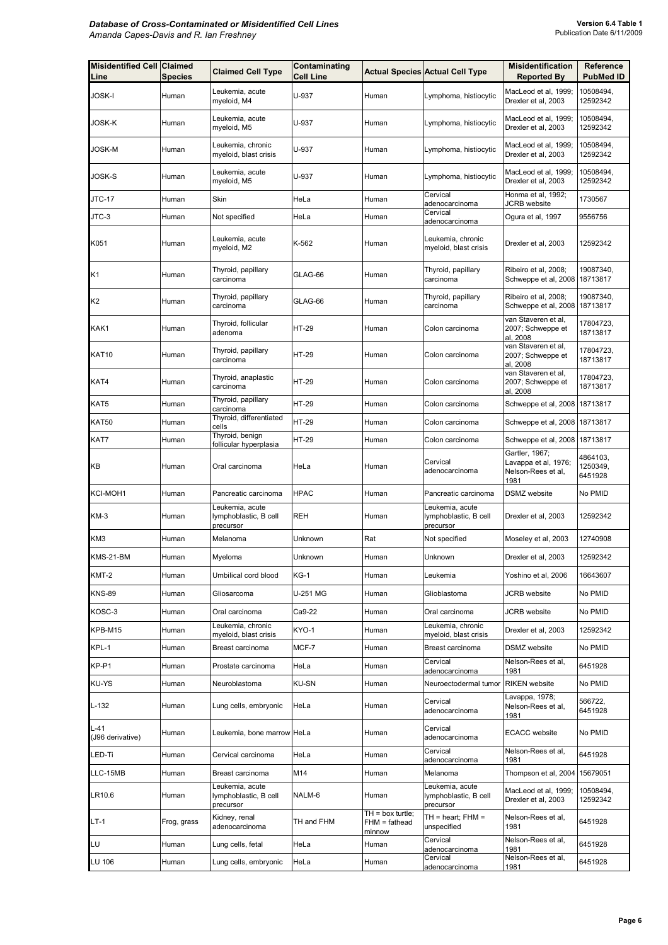| <b>Misidentified Cell Claimed</b><br>Line | <b>Species</b> | <b>Claimed Cell Type</b>                              | Contaminating<br><b>Cell Line</b> |                                                 | <b>Actual Species Actual Cell Type</b>                | <b>Misidentification</b><br><b>Reported By</b>                       | Reference<br><b>PubMed ID</b>   |
|-------------------------------------------|----------------|-------------------------------------------------------|-----------------------------------|-------------------------------------------------|-------------------------------------------------------|----------------------------------------------------------------------|---------------------------------|
| JOSK-I                                    | Human          | Leukemia, acute<br>myeloid, M4                        | U-937                             | Human                                           | Lymphoma, histiocytic                                 | MacLeod et al, 1999;<br>Drexler et al, 2003                          | 10508494,<br>12592342           |
| JOSK-K                                    | Human          | Leukemia, acute<br>myeloid, M5                        | U-937                             | Human                                           | Lymphoma, histiocytic                                 | MacLeod et al, 1999;<br>Drexler et al, 2003                          | 10508494,<br>12592342           |
| JOSK-M                                    | Human          | Leukemia, chronic<br>myeloid, blast crisis            | U-937                             | Human                                           | Lymphoma, histiocytic                                 | MacLeod et al, 1999;<br>Drexler et al, 2003                          | 10508494,<br>12592342           |
| JOSK-S                                    | Human          | Leukemia, acute<br>myeloid, M5                        | U-937                             | Human                                           | Lymphoma, histiocytic                                 | MacLeod et al, 1999;<br>Drexler et al, 2003                          | 10508494,<br>12592342           |
| JTC-17                                    | Human          | Skin                                                  | HeLa                              | Human                                           | Cervical<br>adenocarcinoma                            | Honma et al, 1992;<br><b>JCRB</b> website                            | 1730567                         |
| JTC-3                                     | Human          | Not specified                                         | HeLa                              | Human                                           | Cervical<br>adenocarcinoma                            | Ogura et al, 1997                                                    | 9556756                         |
| K051                                      | Human          | Leukemia, acute<br>myeloid, M2                        | K-562                             | Human                                           | Leukemia, chronic<br>myeloid, blast crisis            | Drexler et al, 2003                                                  | 12592342                        |
| K1                                        | Human          | Thyroid, papillary<br>carcinoma                       | GLAG-66                           | Human                                           | Thyroid, papillary<br>carcinoma                       | Ribeiro et al, 2008;<br>Schweppe et al, 2008 18713817                | 19087340,                       |
| K2                                        | Human          | Thyroid, papillary<br>carcinoma                       | GLAG-66                           | Human                                           | Thyroid, papillary<br>carcinoma                       | Ribeiro et al, 2008;<br>Schweppe et al, 2008 18713817                | 19087340,                       |
| KAK1                                      | Human          | Thyroid, follicular<br>adenoma                        | HT-29                             | Human                                           | Colon carcinoma                                       | van Staveren et al,<br>2007; Schweppe et<br>al, 2008                 | 17804723,<br>18713817           |
| <b>KAT10</b>                              | Human          | Thyroid, papillary<br>carcinoma                       | HT-29                             | Human                                           | Colon carcinoma                                       | van Staveren et al,<br>2007; Schweppe et<br>al, 2008                 | 17804723,<br>18713817           |
| KAT4                                      | Human          | Thyroid, anaplastic<br>carcinoma                      | HT-29                             | Human                                           | Colon carcinoma                                       | van Staveren et al,<br>2007; Schweppe et<br>al, 2008                 | 17804723,<br>18713817           |
| KAT5                                      | Human          | Thyroid, papillary<br>carcinoma                       | HT-29                             | Human                                           | Colon carcinoma                                       | Schweppe et al, 2008 18713817                                        |                                 |
| <b>KAT50</b>                              | Human          | Thyroid, differentiated<br>cells                      | <b>HT-29</b>                      | Human                                           | Colon carcinoma                                       | Schweppe et al, 2008 18713817                                        |                                 |
| KAT7                                      | Human          | Thyroid, benign<br>follicular hyperplasia             | HT-29                             | Human                                           | Colon carcinoma                                       | Schweppe et al, 2008                                                 | 18713817                        |
| KΒ                                        | Human          | Oral carcinoma                                        | HeLa                              | Human                                           | Cervical<br>adenocarcinoma                            | Gartler, 1967;<br>Lavappa et al, 1976;<br>Nelson-Rees et al,<br>1981 | 4864103,<br>1250349,<br>6451928 |
| KCI-MOH1                                  | Human          | Pancreatic carcinoma                                  | <b>HPAC</b>                       | Human                                           | Pancreatic carcinoma                                  | <b>DSMZ</b> website                                                  | No PMID                         |
| KM-3                                      | Human          | Leukemia, acute<br>lymphoblastic, B cell<br>precursor | <b>REH</b>                        | Human                                           | Leukemia, acute<br>lymphoblastic, B cell<br>precursor | Drexler et al, 2003                                                  | 12592342                        |
| KM3                                       | Human          | Melanoma                                              | Unknown                           | Rat                                             | Not specified                                         | Moseley et al, 2003                                                  | 12740908                        |
| KMS-21-BM                                 | Human          | Myeloma                                               | Unknown                           | Human                                           | Unknown                                               | Drexler et al, 2003                                                  | 12592342                        |
| KMT-2                                     | Human          | Umbilical cord blood                                  | $KG-1$                            | Human                                           | Leukemia                                              | Yoshino et al, 2006                                                  | 16643607                        |
| <b>KNS-89</b>                             | Human          | Gliosarcoma                                           | U-251 MG                          | Human                                           | Glioblastoma                                          | <b>JCRB</b> website                                                  | No PMID                         |
| KOSC-3                                    | Human          | Oral carcinoma                                        | Ca9-22                            | Human                                           | Oral carcinoma                                        | JCRB website                                                         | No PMID                         |
| KPB-M15                                   | Human          | Leukemia, chronic<br>myeloid, blast crisis            | KYO-1                             | Human                                           | eukemia, chronic<br>myeloid, blast crisis             | Drexler et al, 2003                                                  | 12592342                        |
| KPL-1                                     | Human          | Breast carcinoma                                      | MCF-7                             | Human                                           | Breast carcinoma                                      | <b>DSMZ</b> website                                                  | No PMID                         |
| KP-P1                                     | Human          | Prostate carcinoma                                    | HeLa                              | Human                                           | Cervical<br>adenocarcinoma                            | Nelson-Rees et al,<br>1981                                           | 6451928                         |
| <b>KU-YS</b>                              | Human          | Neuroblastoma                                         | <b>KU-SN</b>                      | Human                                           | Neuroectodermal tumor                                 | <b>RIKEN</b> website                                                 | No PMID                         |
| $L-132$                                   | Human          | Lung cells, embryonic                                 | HeLa                              | Human                                           | Cervical<br>adenocarcinoma                            | Lavappa, 1978;<br>Nelson-Rees et al,<br>1981                         | 566722,<br>6451928              |
| $L-41$<br>(J96 derivative)                | Human          | Leukemia, bone marrow HeLa                            |                                   | Human                                           | Cervical<br>adenocarcinoma                            | <b>ECACC</b> website                                                 | No PMID                         |
| LED-Ti                                    | Human          | Cervical carcinoma                                    | HeLa                              | Human                                           | Cervical<br>adenocarcinoma                            | Nelson-Rees et al,<br>1981                                           | 6451928                         |
| LLC-15MB                                  | Human          | Breast carcinoma                                      | M14                               | Human                                           | Melanoma                                              | Thompson et al, 2004                                                 | 15679051                        |
| LR10.6                                    | Human          | Leukemia, acute<br>lymphoblastic, B cell<br>precursor | NALM-6                            | Human                                           | Leukemia, acute<br>lymphoblastic, B cell<br>precursor | MacLeod et al, 1999;<br>Drexler et al, 2003                          | 10508494,<br>12592342           |
| $LT-1$                                    | Frog, grass    | Kidney, renal<br>adenocarcinoma                       | TH and FHM                        | $TH = box$ turtle;<br>$FHM = fathead$<br>minnow | TH = heart; FHM =<br>unspecified                      | Nelson-Rees et al,<br>1981                                           | 6451928                         |
| LU                                        | Human          | Lung cells, fetal                                     | HeLa                              | Human                                           | Cervical<br>adenocarcinoma                            | Nelson-Rees et al,<br>1981                                           | 6451928                         |
| LU 106                                    | Human          | Lung cells, embryonic                                 | HeLa                              | Human                                           | Cervical<br>adenocarcinoma                            | Nelson-Rees et al,<br>1981                                           | 6451928                         |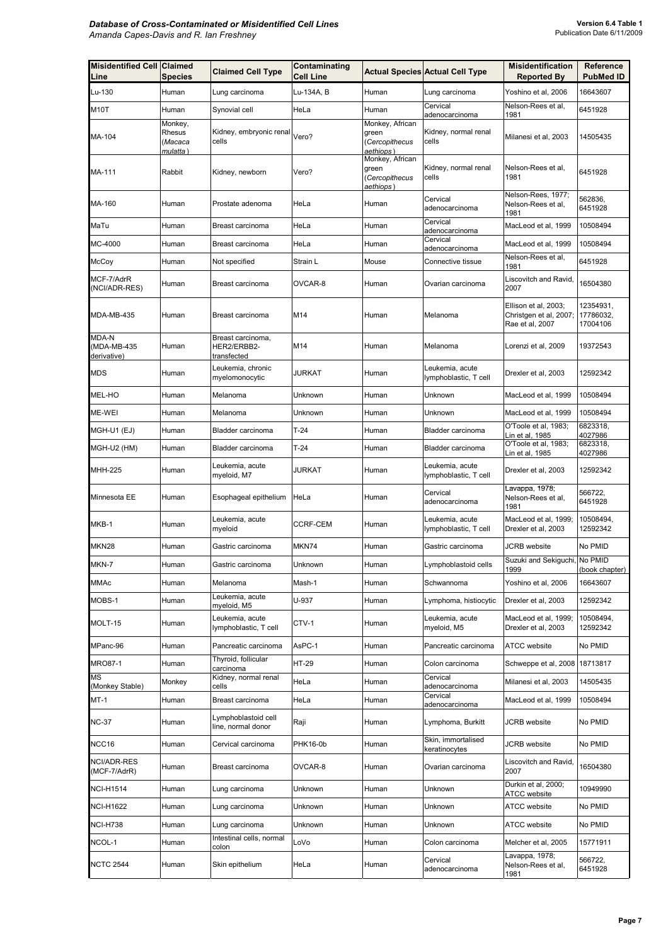| <b>Misidentified Cell Claimed</b><br>Line | <b>Species</b>                            | <b>Claimed Cell Type</b>                        | Contaminating<br><b>Cell Line</b> |                                                         | <b>Actual Species Actual Cell Type</b>   | <b>Misidentification</b><br><b>Reported By</b>                    | Reference<br><b>PubMed ID</b>      |
|-------------------------------------------|-------------------------------------------|-------------------------------------------------|-----------------------------------|---------------------------------------------------------|------------------------------------------|-------------------------------------------------------------------|------------------------------------|
| Lu-130                                    | Human                                     | Lung carcinoma                                  | Lu-134A, B                        | Human                                                   | Lung carcinoma                           | Yoshino et al, 2006                                               | 16643607                           |
| M <sub>1</sub> 0T                         | Human                                     | Synovial cell                                   | HeLa                              | Human                                                   | Cervical<br>adenocarcinoma               | Nelson-Rees et al,<br>1981                                        | 6451928                            |
| MA-104                                    | Monkey,<br>Rhesus<br>(Macaca<br>mulatta ) | Kidney, embryonic renal<br>cells                | Vero?                             | Monkey, African<br>green<br>(Cercopithecus<br>aethiops) | Kidney, normal renal<br>cells            | Milanesi et al, 2003                                              | 14505435                           |
| MA-111                                    | Rabbit                                    | Kidney, newborn                                 | Vero?                             | Monkey, African<br>green<br>(Cercopithecus<br>aethiops) | Kidney, normal renal<br>cells            | Nelson-Rees et al.<br>1981                                        | 6451928                            |
| MA-160                                    | Human                                     | Prostate adenoma                                | HeLa                              | Human                                                   | Cervical<br>adenocarcinoma               | Nelson-Rees, 1977;<br>Nelson-Rees et al,<br>1981                  | 562836,<br>6451928                 |
| MaTu                                      | Human                                     | Breast carcinoma                                | HeLa                              | Human                                                   | Cervical<br>adenocarcinoma               | MacLeod et al, 1999                                               | 10508494                           |
| MC-4000                                   | Human                                     | Breast carcinoma                                | HeLa                              | Human                                                   | Cervical<br>adenocarcinoma               | MacLeod et al, 1999                                               | 10508494                           |
| McCoy                                     | Human                                     | Not specified                                   | Strain L                          | Mouse                                                   | Connective tissue                        | Nelson-Rees et al,<br>1981                                        | 6451928                            |
| MCF-7/AdrR<br>(NCI/ADR-RES)               | Human                                     | Breast carcinoma                                | OVCAR-8                           | Human                                                   | Ovarian carcinoma                        | Liscovitch and Ravid,<br>2007                                     | 16504380                           |
| MDA-MB-435                                | Human                                     | Breast carcinoma                                | M14                               | Human                                                   | Melanoma                                 | Ellison et al, 2003;<br>Christgen et al, 2007;<br>Rae et al, 2007 | 12354931,<br>17786032,<br>17004106 |
| MDA-N<br>(MDA-MB-435<br>derivative)       | Human                                     | Breast carcinoma,<br>HER2/ERBB2-<br>transfected | M14                               | Human                                                   | Melanoma                                 | Lorenzi et al, 2009                                               | 19372543                           |
| <b>MDS</b>                                | Human                                     | Leukemia, chronic<br>myelomonocytic             | JURKAT                            | Human                                                   | Leukemia, acute<br>lymphoblastic, T cell | Drexler et al, 2003                                               | 12592342                           |
| MEL-HO                                    | Human                                     | Melanoma                                        | Unknown                           | Human                                                   | Unknown                                  | MacLeod et al, 1999                                               | 10508494                           |
| ME-WEI                                    | Human                                     | Melanoma                                        | Unknown                           | Human                                                   | Unknown                                  | MacLeod et al, 1999                                               | 10508494                           |
| MGH-U1 (EJ)                               | Human                                     | Bladder carcinoma                               | T-24                              | Human                                                   | Bladder carcinoma                        | O'Toole et al, 1983;<br>Lin et al, 1985                           | 6823318,<br>4027986                |
| Mgh-u2 (HM)                               | Human                                     | Bladder carcinoma                               | $T-24$                            | Human                                                   | Bladder carcinoma                        | O'Toole et al, 1983;<br>Lin et al, 1985                           | 6823318,<br>4027986                |
| MHH-225                                   | Human                                     | Leukemia, acute<br>myeloid, M7                  | JURKAT                            | Human                                                   | Leukemia, acute<br>lymphoblastic, T cell | Drexler et al, 2003                                               | 12592342                           |
| Minnesota EE                              | Human                                     | Esophageal epithelium                           | HeLa                              | Human                                                   | Cervical<br>adenocarcinoma               | Lavappa, 1978;<br>Nelson-Rees et al,<br>1981                      | 566722.<br>6451928                 |
| MKB-1                                     | Human                                     | Leukemia, acute<br>myeloid                      | <b>CCRF-CEM</b>                   | Human                                                   | Leukemia, acute<br>lymphoblastic, T cell | MacLeod et al, 1999;<br>Drexler et al, 2003                       | 10508494,<br>12592342              |
| MKN28                                     | Human                                     | Gastric carcinoma                               | MKN74                             | Human                                                   | Gastric carcinoma                        | JCRB website                                                      | No PMID                            |
| MKN-7                                     | Human                                     | Gastric carcinoma                               | Unknown                           | Human                                                   | Lymphoblastoid cells                     | Suzuki and Sekiguchi, No PMID<br>1999                             | (book chapter)                     |
| <b>MMAc</b>                               | Human                                     | Melanoma                                        | Mash-1                            | Human                                                   | Schwannoma                               | Yoshino et al, 2006                                               | 16643607                           |
| MOBS-1                                    | Human                                     | Leukemia, acute<br>myeloid, M5                  | U-937                             | Human                                                   | Lymphoma, histiocytic                    | Drexler et al, 2003                                               | 12592342                           |
| MOLT-15                                   | Human                                     | Leukemia, acute<br>lymphoblastic, T cell        | CTV-1                             | Human                                                   | Leukemia, acute<br>myeloid, M5           | MacLeod et al, 1999;<br>Drexler et al, 2003                       | 10508494,<br>12592342              |
| MPanc-96                                  | Human                                     | Pancreatic carcinoma                            | AsPC-1                            | Human                                                   | Pancreatic carcinoma                     | <b>ATCC</b> website                                               | No PMID                            |
| MRO87-1                                   | Human                                     | Thyroid, follicular<br>carcinoma                | HT-29                             | Human                                                   | Colon carcinoma                          | Schweppe et al, 2008   18713817                                   |                                    |
| ΜS<br>(Monkey Stable)                     | Monkey                                    | Kidney, normal renal<br>cells                   | HeLa                              | Human                                                   | Cervical<br>adenocarcinoma               | Milanesi et al, 2003                                              | 14505435                           |
| MT-1                                      | Human                                     | Breast carcinoma                                | HeLa                              | Human                                                   | Cervical<br>adenocarcinoma               | MacLeod et al, 1999                                               | 10508494                           |
| NC-37                                     | Human                                     | Lymphoblastoid cell<br>line, normal donor       | Raji                              | Human                                                   | Lymphoma, Burkitt                        | <b>JCRB</b> website                                               | No PMID                            |
| NCC16                                     | Human                                     | Cervical carcinoma                              | PHK16-0b                          | Human                                                   | Skin, immortalised<br>keratinocytes      | <b>JCRB</b> website                                               | No PMID                            |
| NCI/ADR-RES<br>(MCF-7/AdrR)               | Human                                     | Breast carcinoma                                | OVCAR-8                           | Human                                                   | Ovarian carcinoma                        | Liscovitch and Ravid,<br>2007                                     | 16504380                           |
| NCI-H1514                                 | Human                                     | Lung carcinoma                                  | Unknown                           | Human                                                   | Unknown                                  | Durkin et al, 2000;<br>ATCC website                               | 10949990                           |
| <b>NCI-H1622</b>                          | Human                                     | Lung carcinoma                                  | Unknown                           | Human                                                   | Unknown                                  | <b>ATCC</b> website                                               | No PMID                            |
| <b>NCI-H738</b>                           | Human                                     | Lung carcinoma                                  | Unknown                           | Human                                                   | Unknown                                  | ATCC website                                                      | No PMID                            |
| NCOL-1                                    | Human                                     | Intestinal cells, normal<br>colon               | LoVo                              | Human                                                   | Colon carcinoma                          | Melcher et al, 2005                                               | 15771911                           |
| <b>NCTC 2544</b>                          | Human                                     | Skin epithelium                                 | HeLa                              | Human                                                   | Cervical<br>adenocarcinoma               | Lavappa, 1978;<br>Nelson-Rees et al,<br>1981                      | 566722,<br>6451928                 |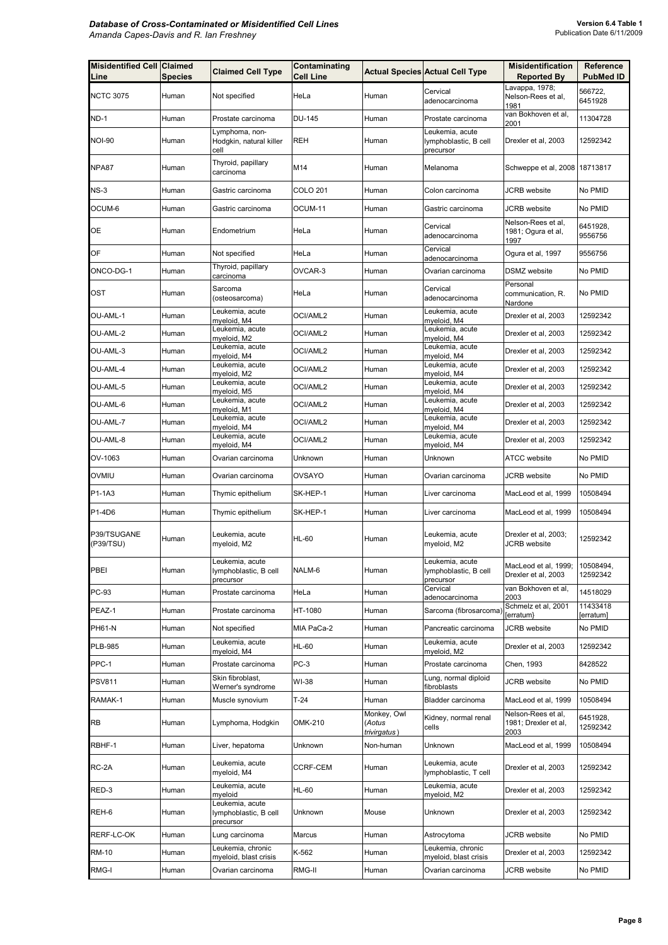| <b>Misidentified Cell Claimed</b><br>Line | <b>Species</b> | <b>Claimed Cell Type</b>                              | Contaminating<br><b>Cell Line</b> |                                       | <b>Actual Species Actual Cell Type</b>                | <b>Misidentification</b><br><b>Reported By</b>     | Reference<br><b>PubMed ID</b> |
|-------------------------------------------|----------------|-------------------------------------------------------|-----------------------------------|---------------------------------------|-------------------------------------------------------|----------------------------------------------------|-------------------------------|
| <b>NCTC 3075</b>                          | Human          | Not specified                                         | HeLa                              | Human                                 | Cervical<br>adenocarcinoma                            | Lavappa, 1978;<br>Nelson-Rees et al,<br>1981       | 566722,<br>6451928            |
| ND-1                                      | Human          | Prostate carcinoma                                    | <b>DU-145</b>                     | Human                                 | Prostate carcinoma                                    | van Bokhoven et al,<br>2001                        | 11304728                      |
| <b>NOI-90</b>                             | Human          | Lymphoma, non-<br>Hodgkin, natural killer<br>cell     | <b>REH</b>                        | Human                                 | eukemia, acute<br>lymphoblastic, B cell<br>precursor  | Drexler et al, 2003                                | 12592342                      |
| NPA87                                     | Human          | Thyroid, papillary<br>carcinoma                       | M14                               | Human                                 | Melanoma                                              | Schweppe et al, 2008 18713817                      |                               |
| $NS-3$                                    | Human          | Gastric carcinoma                                     | COLO 201                          | Human                                 | Colon carcinoma                                       | JCRB website                                       | No PMID                       |
| OCUM-6                                    | Human          | Gastric carcinoma                                     | OCUM-11                           | Human                                 | Gastric carcinoma                                     | <b>JCRB</b> website                                | No PMID                       |
| ОE                                        | Human          | Endometrium                                           | HeLa                              | Human                                 | Cervical<br>adenocarcinoma                            | Nelson-Rees et al,<br>1981; Ogura et al,<br>1997   | 6451928,<br>9556756           |
| OF                                        | Human          | Not specified                                         | HeLa                              | Human                                 | Cervical<br>adenocarcinoma                            | Ogura et al, 1997                                  | 9556756                       |
| ONCO-DG-1                                 | Human          | Thyroid, papillary<br>carcinoma                       | OVCAR-3                           | Human                                 | Ovarian carcinoma                                     | DSMZ website                                       | No PMID                       |
| OST                                       | Human          | Sarcoma<br>(osteosarcoma)                             | HeLa                              | Human                                 | Cervical<br>adenocarcinoma                            | Personal<br>communication, R.<br>Nardone           | No PMID                       |
| OU-AML-1                                  | Human          | Leukemia, acute<br>myeloid, M4                        | OCI/AML2                          | Human                                 | Leukemia, acute<br>myeloid, M4                        | Drexler et al, 2003                                | 12592342                      |
| OU-AML-2                                  | Human          | Leukemia, acute<br>myeloid, M2                        | OCI/AML2                          | Human                                 | Leukemia, acute<br>myeloid, M4                        | Drexler et al, 2003                                | 12592342                      |
| OU-AML-3                                  | Human          | Leukemia, acute<br>myeloid, M4                        | OCI/AML2                          | Human                                 | Leukemia, acute<br>myeloid, M4                        | Drexler et al, 2003                                | 12592342                      |
| OU-AML-4                                  | Human          | Leukemia, acute<br>myeloid, M2                        | OCI/AML2                          | Human                                 | Leukemia, acute<br>myeloid, M4                        | Drexler et al, 2003                                | 12592342                      |
| OU-AML-5                                  | Human          | Leukemia, acute<br>myeloid, M5                        | OCI/AML2                          | Human                                 | Leukemia, acute<br>myeloid, M4                        | Drexler et al, 2003                                | 12592342                      |
| OU-AML-6                                  | Human          | Leukemia, acute<br>myeloid, M1                        | OCI/AML2                          | Human                                 | Leukemia, acute<br>myeloid, M4                        | Drexler et al, 2003                                | 12592342                      |
| OU-AML-7                                  | Human          | Leukemia, acute<br>myeloid, M4                        | OCI/AML2                          | Human                                 | Leukemia, acute<br>myeloid, M4                        | Drexler et al, 2003                                | 12592342                      |
| OU-AML-8                                  | Human          | Leukemia, acute                                       | OCI/AML2                          | Human                                 | Leukemia, acute                                       | Drexler et al, 2003                                | 12592342                      |
| OV-1063                                   | Human          | myeloid, M4<br>Ovarian carcinoma                      | Unknown                           | Human                                 | myeloid, M4<br>Unknown                                | ATCC website                                       | No PMID                       |
| <b>OVMIU</b>                              | Human          | Ovarian carcinoma                                     | <b>OVSAYO</b>                     | Human                                 | Ovarian carcinoma                                     | JCRB website                                       | No PMID                       |
| P1-1A3                                    | Human          | Thymic epithelium                                     | SK-HEP-1                          | Human                                 | Liver carcinoma                                       | MacLeod et al, 1999                                | 10508494                      |
| P1-4D6                                    | Human          | Thymic epithelium                                     | SK-HEP-1                          | Human                                 | Liver carcinoma                                       | MacLeod et al, 1999                                | 10508494                      |
|                                           |                |                                                       |                                   |                                       |                                                       |                                                    |                               |
| P39/TSUGANE<br>(P39/TSU)                  | Human          | Leukemia, acute<br>myeloid, M2                        | <b>HL-60</b>                      | Human                                 | Leukemia, acute<br>myeloid, M2                        | Drexler et al, 2003;<br>JCRB website               | 12592342                      |
| PBEI                                      | Human          | eukemia, acute<br>lymphoblastic, B cell<br>precursor  | NALM-6                            | Human                                 | eukemia. acute.<br>lymphoblastic, B cell<br>precursor | MacLeod et al, 1999;<br>Drexler et al, 2003        | 10508494<br>12592342          |
| PC-93                                     | Human          | Prostate carcinoma                                    | HeLa                              | Human                                 | Cervical<br>adenocarcinoma                            | van Bokhoven et al,<br>2003                        | 14518029                      |
| PEAZ-1                                    | Human          | Prostate carcinoma                                    | HT-1080                           | Human                                 | Sarcoma (fibrosarcoma)                                | Schmelz et al, 2001<br>erratum}                    | 11433418<br>[erratum]         |
| PH61-N                                    | Human          | Not specified                                         | MIA PaCa-2                        | Human                                 | Pancreatic carcinoma                                  | JCRB website                                       | No PMID                       |
| PLB-985                                   | Human          | Leukemia, acute<br>myeloid, M4                        | HL-60                             | Human                                 | Leukemia, acute<br>myeloid, M2                        | Drexler et al, 2003                                | 12592342                      |
| PPC-1                                     | Human          | Prostate carcinoma                                    | $PC-3$                            | Human                                 | Prostate carcinoma                                    | Chen, 1993                                         | 8428522                       |
| <b>PSV811</b>                             | Human          | Skin fibroblast,<br>Werner's syndrome                 | WI-38                             | Human                                 | Lung, normal diploid<br>fibroblasts                   | JCRB website                                       | No PMID                       |
| RAMAK-1                                   | Human          | Muscle synovium                                       | T-24                              | Human                                 | Bladder carcinoma                                     | MacLeod et al, 1999                                | 10508494                      |
| RB                                        | Human          | Lymphoma, Hodgkin                                     | OMK-210                           | Monkey, Owl<br>(Aotus<br>trivirgatus) | Kidney, normal renal<br>cells                         | Nelson-Rees et al,<br>1981; Drexler et al,<br>2003 | 6451928,<br>12592342          |
| RBHF-1                                    | Human          | Liver, hepatoma                                       | Unknown                           | Non-human                             | Unknown                                               | MacLeod et al, 1999                                | 10508494                      |
| RC-2A                                     | Human          | Leukemia, acute<br>myeloid, M4                        | CCRF-CEM                          | Human                                 | Leukemia, acute<br>ymphoblastic, T cell               | Drexler et al, 2003                                | 12592342                      |
| RED-3                                     | Human          | Leukemia, acute<br>myeloid                            | <b>HL-60</b>                      | Human                                 | Leukemia, acute<br>myeloid, M2                        | Drexler et al, 2003                                | 12592342                      |
| REH-6                                     | Human          | Leukemia, acute<br>lymphoblastic, B cell<br>precursor | Unknown                           | Mouse                                 | Unknown                                               | Drexler et al, 2003                                | 12592342                      |
| RERF-LC-OK                                | Human          | Lung carcinoma                                        | Marcus                            | Human                                 | Astrocytoma                                           | JCRB website                                       | No PMID                       |
| <b>RM-10</b>                              | Human          | Leukemia, chronic<br>myeloid, blast crisis            | K-562                             | Human                                 | Leukemia, chronic<br>myeloid, blast crisis            | Drexler et al, 2003                                | 12592342                      |
| RMG-I                                     | Human          | Ovarian carcinoma                                     | RMG-II                            | Human                                 | Ovarian carcinoma                                     | JCRB website                                       | No PMID                       |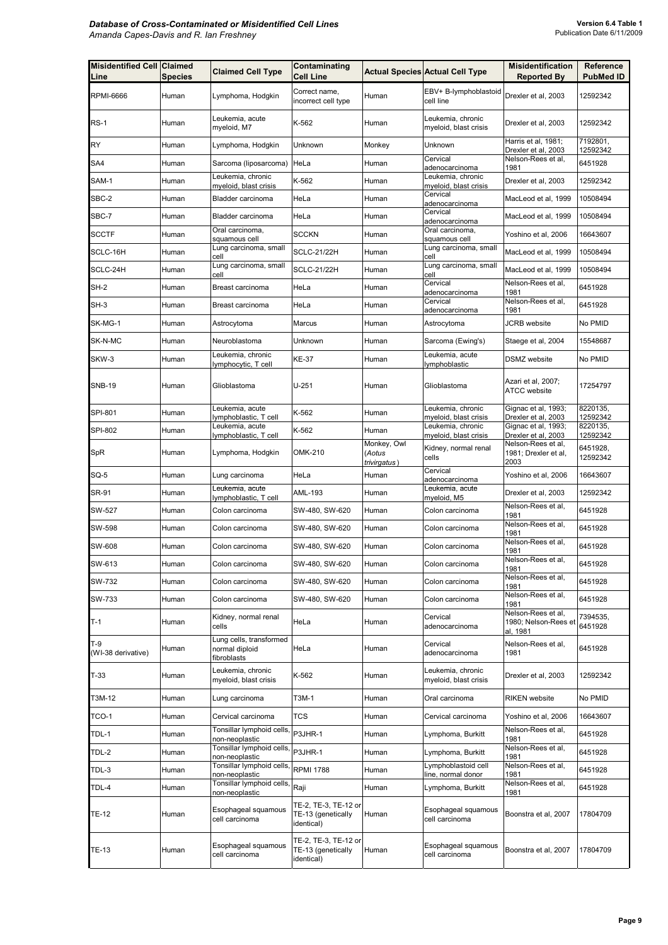| <b>Misidentified Cell Claimed</b><br>Line | <b>Species</b> | <b>Claimed Cell Type</b>                                  | Contaminating<br><b>Cell Line</b>                        |                       | <b>Actual Species Actual Cell Type</b>     | <b>Misidentification</b><br><b>Reported By</b>     | Reference<br><b>PubMed ID</b> |
|-------------------------------------------|----------------|-----------------------------------------------------------|----------------------------------------------------------|-----------------------|--------------------------------------------|----------------------------------------------------|-------------------------------|
| <b>RPMI-6666</b>                          | Human          | Lymphoma, Hodgkin                                         | Correct name,<br>incorrect cell type                     | Human                 | EBV+ B-lymphoblastoid<br>cell line         | Drexler et al, 2003                                | 12592342                      |
| $RS-1$                                    | Human          | Leukemia, acute<br>myeloid, M7                            | K-562                                                    | Human                 | Leukemia, chronic<br>myeloid, blast crisis | Drexler et al. 2003                                | 12592342                      |
| RY                                        | Human          | Lymphoma, Hodgkin                                         | Unknown                                                  | Monkey                | Unknown                                    | Harris et al, 1981;<br>Drexler et al, 2003         | 7192801,<br>12592342          |
| SA4                                       | Human          | Sarcoma (liposarcoma)                                     | HeLa                                                     | Human                 | Cervical<br>adenocarcinoma                 | Nelson-Rees et al,<br>1981                         | 6451928                       |
| SAM-1                                     | Human          | Leukemia, chronic<br>myeloid, blast crisis                | K-562                                                    | Human                 | Leukemia, chronic<br>myeloid, blast crisis | Drexler et al, 2003                                | 12592342                      |
| SBC-2                                     | Human          | Bladder carcinoma                                         | HeLa                                                     | Human                 | Cervical<br>adenocarcinoma                 | MacLeod et al, 1999                                | 10508494                      |
| SBC-7                                     | Human          | Bladder carcinoma                                         | HeLa                                                     | Human                 | Cervical<br>adenocarcinoma                 | MacLeod et al, 1999                                | 10508494                      |
| <b>SCCTF</b>                              | Human          | Oral carcinoma,<br>squamous cell                          | <b>SCCKN</b>                                             | Human                 | Oral carcinoma,<br>squamous cell           | Yoshino et al, 2006                                | 16643607                      |
| SCLC-16H                                  | Human          | Lung carcinoma, small<br>cell                             | <b>SCLC-21/22H</b>                                       | Human                 | Lung carcinoma, small<br>cell              | MacLeod et al, 1999                                | 10508494                      |
| SCLC-24H                                  | Human          | Lung carcinoma, small<br>cell                             | <b>SCLC-21/22H</b>                                       | Human                 | Lung carcinoma, small<br>cell              | MacLeod et al, 1999                                | 10508494                      |
| SH-2                                      | Human          | Breast carcinoma                                          | HeLa                                                     | Human                 | Cervical<br>adenocarcinoma                 | Nelson-Rees et al,<br>1981                         | 6451928                       |
| SH-3                                      | Human          | Breast carcinoma                                          | HeLa                                                     | Human                 | Cervical<br>adenocarcinoma                 | Nelson-Rees et al.<br>1981                         | 6451928                       |
| SK-MG-1                                   | Human          | Astrocytoma                                               | Marcus                                                   | Human                 | Astrocytoma                                | <b>JCRB</b> website                                | No PMID                       |
| SK-N-MC                                   | Human          | Neuroblastoma                                             | Unknown                                                  | Human                 | Sarcoma (Ewing's)                          | Staege et al, 2004                                 | 15548687                      |
| SKW-3                                     | Human          | Leukemia, chronic<br>lymphocytic, T cell                  | KE-37                                                    | Human                 | Leukemia, acute<br>lymphoblastic           | DSMZ website                                       | No PMID                       |
| SNB-19                                    | Human          | Glioblastoma                                              | $U - 251$                                                | Human                 | Glioblastoma                               | Azari et al, 2007;<br><b>ATCC</b> website          | 17254797                      |
| SPI-801                                   | Human          | Leukemia, acute<br>lymphoblastic, T cell                  | K-562                                                    | Human                 | Leukemia, chronic<br>myeloid, blast crisis | Gignac et al, 1993;<br>Drexler et al, 2003         | 8220135,<br>12592342          |
| SPI-802                                   | Human          | Leukemia, acute<br>lymphoblastic, T cell                  | K-562                                                    | Human                 | Leukemia, chronic<br>myeloid, blast crisis | Gignac et al, 1993;<br>Drexler et al, 2003         | 8220135.<br>12592342          |
| SpR                                       | Human          | Lymphoma, Hodgkin                                         | OMK-210                                                  | Monkey, Owl<br>(Aotus | Kidney, normal renal<br>cells              | Nelson-Rees et al,<br>1981; Drexler et al,<br>2003 | 6451928,<br>12592342          |
| SQ-5                                      | Human          | Lung carcinoma                                            | HeLa                                                     | trivirgatus)<br>Human | Cervical                                   | Yoshino et al, 2006                                | 16643607                      |
| SR-91                                     | Human          | Leukemia, acute                                           | AML-193                                                  | Human                 | adenocarcinoma<br>Leukemia, acute          | Drexler et al. 2003                                | 12592342                      |
| SW-527                                    | Human          | lymphoblastic, T cell<br>Colon carcinoma                  | SW-480, SW-620                                           | Human                 | myeloid, M5<br>Colon carcinoma             | Nelson-Rees et al.                                 | 6451928                       |
| SW-598                                    | Human          | Colon carcinoma                                           | SW-480, SW-620                                           | Human                 | Colon carcinoma                            | 1981<br>Nelson-Rees et al,                         | 6451928                       |
| SW-608                                    | Human          | Colon carcinoma                                           | SW-480, SW-620                                           | Human                 | Colon carcinoma                            | 1981<br>Nelson-Rees et al,                         | 6451928                       |
| SW-613                                    | Human          | Colon carcinoma                                           | SW-480, SW-620                                           | Human                 | Colon carcinoma                            | 1981<br>Nelson-Rees et al,                         | 6451928                       |
| SW-732                                    | Human          | Colon carcinoma                                           | SW-480, SW-620                                           | Human                 | Colon carcinoma                            | 1981<br>Nelson-Rees et al.                         | 6451928                       |
| SW-733                                    | Human          | Colon carcinoma                                           | SW-480, SW-620                                           | Human                 | Colon carcinoma                            | 1981<br>Nelson-Rees et al,                         | 6451928                       |
| $T-1$                                     | Human          | Kidney, normal renal<br>cells                             | HeLa                                                     | Human                 | Cervical<br>adenocarcinoma                 | 1981<br>Nelson-Rees et al.<br>1980; Nelson-Rees et | 7394535,<br>6451928           |
| $T-9$                                     | Human          | Lung cells, transformed<br>normal diploid                 | HeLa                                                     | Human                 | Cervical<br>adenocarcinoma                 | al, 1981<br>Nelson-Rees et al,<br>1981             | 6451928                       |
| (WI-38 derivative)<br>$T-33$              | Human          | fibroblasts<br>Leukemia, chronic<br>myeloid, blast crisis | K-562                                                    | Human                 | Leukemia, chronic<br>myeloid, blast crisis | Drexler et al, 2003                                | 12592342                      |
| T3M-12                                    | Human          | Lung carcinoma                                            | T3M-1                                                    | Human                 | Oral carcinoma                             | <b>RIKEN</b> website                               | No PMID                       |
| TCO-1                                     | Human          | Cervical carcinoma                                        | <b>TCS</b>                                               | Human                 | Cervical carcinoma                         | Yoshino et al, 2006                                | 16643607                      |
| TDL-1                                     | Human          | Tonsillar lymphoid cells,                                 | P3JHR-1                                                  | Human                 | Lymphoma, Burkitt                          | Nelson-Rees et al,                                 | 6451928                       |
| TDL-2                                     | Human          | non-neoplastic<br>Tonsillar lymphoid cells,               | P3JHR-1                                                  | Human                 | Lymphoma, Burkitt                          | 1981<br>Nelson-Rees et al,                         | 6451928                       |
| TDL-3                                     | Human          | non-neoplastic<br>Tonsillar lymphoid cells,               | <b>RPMI 1788</b>                                         | Human                 | Lymphoblastoid cell                        | 1981<br>Nelson-Rees et al,                         | 6451928                       |
| TDL-4                                     | Human          | non-neoplastic<br>Tonsillar lymphoid cells,               | Raji                                                     | Human                 | line, normal donor<br>Lymphoma, Burkitt    | 1981<br>Nelson-Rees et al,                         | 6451928                       |
| TE-12                                     | Human          | non-neoplastic<br>Esophageal squamous<br>cell carcinoma   | TE-2, TE-3, TE-12 or<br>TE-13 (genetically<br>identical) | Human                 | Esophageal squamous<br>cell carcinoma      | 1981<br>Boonstra et al, 2007                       | 17804709                      |
| <b>TE-13</b>                              | Human          | Esophageal squamous<br>cell carcinoma                     | TE-2, TE-3, TE-12 or<br>TE-13 (genetically<br>identical) | Human                 | Esophageal squamous<br>cell carcinoma      | Boonstra et al, 2007                               | 17804709                      |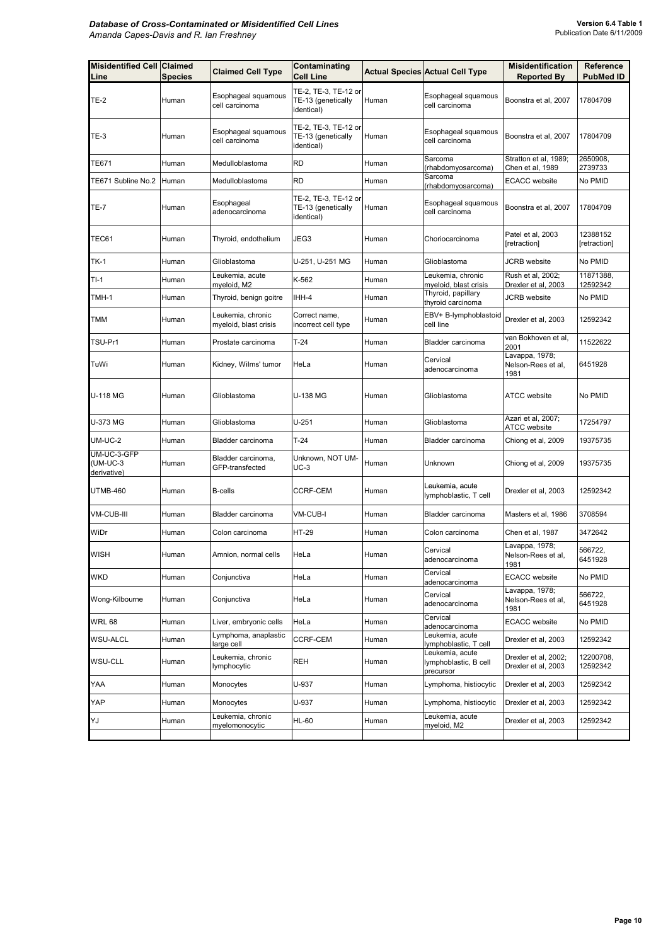| <b>Misidentified Cell Claimed</b><br>Line | <b>Species</b> | <b>Claimed Cell Type</b>                   | Contaminating<br><b>Cell Line</b>                        |       | <b>Actual Species Actual Cell Type</b>                | <b>Misidentification</b><br><b>Reported By</b> | Reference<br><b>PubMed ID</b> |
|-------------------------------------------|----------------|--------------------------------------------|----------------------------------------------------------|-------|-------------------------------------------------------|------------------------------------------------|-------------------------------|
| <b>TE-2</b>                               | Human          | Esophageal squamous<br>cell carcinoma      | TE-2, TE-3, TE-12 or<br>TE-13 (genetically<br>identical) | Human | Esophageal squamous<br>cell carcinoma                 | Boonstra et al, 2007                           | 17804709                      |
| TE-3                                      | Human          | Esophageal squamous<br>cell carcinoma      | TE-2, TE-3, TE-12 or<br>TE-13 (genetically<br>identical) | Human | Esophageal squamous<br>cell carcinoma                 | Boonstra et al, 2007                           | 17804709                      |
| TE671                                     | Human          | Medulloblastoma                            | <b>RD</b>                                                | Human | Sarcoma<br>(rhabdomyosarcoma)                         | Stratton et al, 1989;<br>Chen et al, 1989      | 2650908,<br>2739733           |
| TE671 Subline No.2                        | Human          | Medulloblastoma                            | <b>RD</b>                                                | Human | Sarcoma<br>(rhabdomyosarcoma)                         | <b>ECACC</b> website                           | No PMID                       |
| <b>TE-7</b>                               | Human          | Esophageal<br>adenocarcinoma               | TE-2, TE-3, TE-12 or<br>TE-13 (genetically<br>identical) | Human | Esophageal squamous<br>cell carcinoma                 | Boonstra et al, 2007                           | 17804709                      |
| TEC61                                     | Human          | Thyroid, endothelium                       | JEG3                                                     | Human | Choriocarcinoma                                       | Patel et al, 2003<br>[retraction]              | 12388152<br>[retraction]      |
| <b>TK-1</b>                               | Human          | Glioblastoma                               | U-251, U-251 MG                                          | Human | Glioblastoma                                          | JCRB website                                   | No PMID                       |
| TI-1                                      | Human          | Leukemia, acute<br>myeloid, M2             | K-562                                                    | Human | Leukemia, chronic<br>myeloid, blast crisis            | Rush et al, 2002;<br>Drexler et al, 2003       | 11871388,<br>12592342         |
| TMH-1                                     | Human          | Thyroid, benign goitre                     | IHH-4                                                    | Human | Thyroid, papillary<br>thyroid carcinoma               | <b>JCRB</b> website                            | No PMID                       |
| TMM                                       | Human          | Leukemia, chronic<br>myeloid, blast crisis | Correct name,<br>incorrect cell type                     | Human | EBV+ B-lymphoblastoid<br>cell line                    | Drexler et al, 2003                            | 12592342                      |
| TSU-Pr1                                   | Human          | Prostate carcinoma                         | $T-24$                                                   | Human | Bladder carcinoma                                     | van Bokhoven et al.<br>2001                    | 11522622                      |
| TuWi                                      | Human          | Kidney, Wilms' tumor                       | HeLa                                                     | Human | Cervical<br>adenocarcinoma                            | Lavappa, 1978;<br>Nelson-Rees et al,<br>1981   | 6451928                       |
| U-118 MG                                  | Human          | Glioblastoma                               | U-138 MG                                                 | Human | Glioblastoma                                          | <b>ATCC</b> website                            | No PMID                       |
| U-373 MG                                  | Human          | Glioblastoma                               | $U - 251$                                                | Human | Glioblastoma                                          | Azari et al, 2007;<br><b>ATCC</b> website      | 17254797                      |
| UM-UC-2                                   | Human          | Bladder carcinoma                          | $T-24$                                                   | Human | Bladder carcinoma                                     | Chiong et al, 2009                             | 19375735                      |
| UM-UC-3-GFP<br>(UM-UC-3<br>derivative)    | Human          | Bladder carcinoma,<br>GFP-transfected      | Unknown, NOT UM-<br>$UC-3$                               | Human | Unknown                                               | Chiong et al, 2009                             | 19375735                      |
| UTMB-460                                  | Human          | <b>B-cells</b>                             | CCRF-CEM                                                 | Human | Leukemia, acute<br>lymphoblastic, T cell              | Drexler et al, 2003                            | 12592342                      |
| VM-CUB-III                                | Human          | Bladder carcinoma                          | VM-CUB-I                                                 | Human | Bladder carcinoma                                     | Masters et al, 1986                            | 3708594                       |
| WiDr                                      | Human          | Colon carcinoma                            | HT-29                                                    | Human | Colon carcinoma                                       | Chen et al, 1987                               | 3472642                       |
| <b>WISH</b>                               | Human          | Amnion, normal cells                       | HeLa                                                     | Human | Cervical<br>adenocarcinoma                            | Lavappa, 1978;<br>Nelson-Rees et al.<br>1981   | 566722.<br>6451928            |
| WKD                                       | Human          | Conjunctiva                                | HeLa                                                     | Human | Cervical<br>adenocarcinoma                            | <b>ECACC</b> website                           | No PMID                       |
| Wong-Kilbourne                            | Human          | Conjunctiva                                | HeLa                                                     | Human | Cervical<br>adenocarcinoma                            | Lavappa, 1978;<br>Nelson-Rees et al,<br>1981   | 566722,<br>6451928            |
| <b>WRL 68</b>                             | Human          | Liver, embryonic cells                     | HeLa                                                     | Human | Cervical<br>adenocarcinoma                            | <b>ECACC</b> website                           | No PMID                       |
| WSU-ALCL                                  | Human          | Lymphoma, anaplastic<br>large cell         | <b>CCRF-CEM</b>                                          | Human | Leukemia, acute<br>lymphoblastic, T cell              | Drexler et al, 2003                            | 12592342                      |
| WSU-CLL                                   | Human          | Leukemia, chronic<br>lymphocytic           | <b>REH</b>                                               | Human | Leukemia, acute<br>lymphoblastic, B cell<br>precursor | Drexler et al, 2002;<br>Drexler et al, 2003    | 12200708,<br>12592342         |
| YAA                                       | Human          | Monocytes                                  | U-937                                                    | Human | Lymphoma, histiocytic                                 | Drexler et al, 2003                            | 12592342                      |
| YAP                                       | Human          | Monocytes                                  | U-937                                                    | Human | Lymphoma, histiocytic                                 | Drexler et al, 2003                            | 12592342                      |
| YJ                                        | Human          | Leukemia, chronic<br>myelomonocytic        | HL-60                                                    | Human | Leukemia, acute<br>myeloid, M2                        | Drexler et al, 2003                            | 12592342                      |
|                                           |                |                                            |                                                          |       |                                                       |                                                |                               |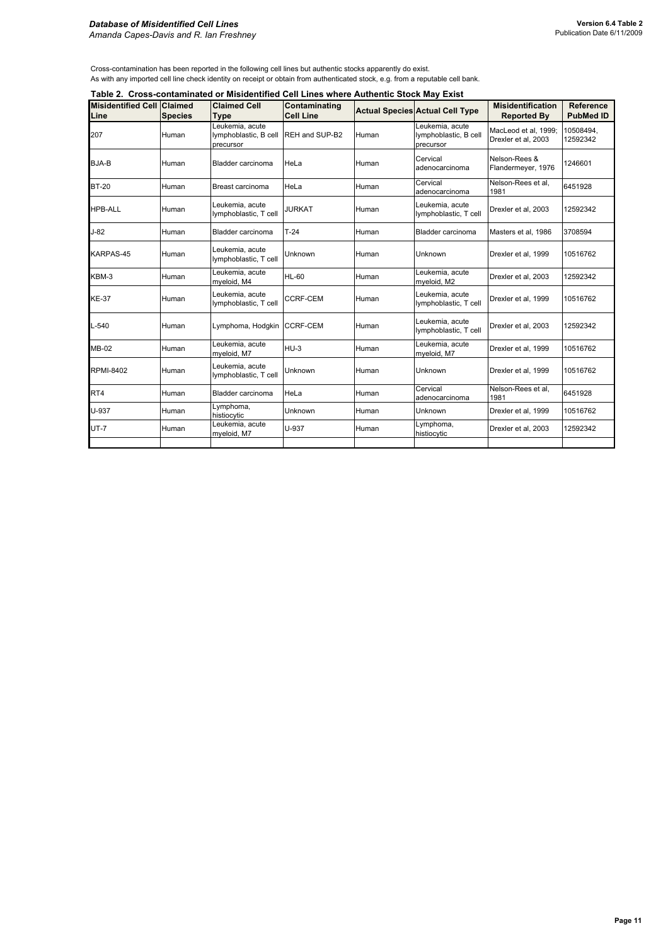#### *Database of Misidentified Cell Lines Amanda Capes-Davis and R. Ian Freshney*

Cross-contamination has been reported in the following cell lines but authentic stocks apparently do exist. As with any imported cell line check identity on receipt or obtain from authenticated stock, e.g. from a reputable cell bank.

|                                           | Table 2. Cross-contaminated or Misidentified Cell Lines where Authentic Stock May Exist |                                                                      |                                   |       |                                                       |                                                |                                      |  |  |  |
|-------------------------------------------|-----------------------------------------------------------------------------------------|----------------------------------------------------------------------|-----------------------------------|-------|-------------------------------------------------------|------------------------------------------------|--------------------------------------|--|--|--|
| <b>Misidentified Cell Claimed</b><br>Line | <b>Species</b>                                                                          | <b>Claimed Cell</b><br>Type                                          | Contaminating<br><b>Cell Line</b> |       | <b>Actual Species Actual Cell Type</b>                | <b>Misidentification</b><br><b>Reported By</b> | <b>Reference</b><br><b>PubMed ID</b> |  |  |  |
| 207                                       | Human                                                                                   | Leukemia, acute<br>lymphoblastic, B cell REH and SUP-B2<br>precursor |                                   | Human | Leukemia, acute<br>lymphoblastic, B cell<br>precursor | MacLeod et al, 1999;<br>Drexler et al, 2003    | 10508494,<br>12592342                |  |  |  |
| BJA-B                                     | Human                                                                                   | Bladder carcinoma                                                    | HeLa                              | Human | Cervical<br>adenocarcinoma                            | Nelson-Rees &<br>Flandermeyer, 1976            | 1246601                              |  |  |  |
| <b>BT-20</b>                              | Human                                                                                   | Breast carcinoma                                                     | HeLa                              | Human | Cervical<br>adenocarcinoma                            | Nelson-Rees et al.<br>1981                     | 6451928                              |  |  |  |
| <b>HPB-ALL</b>                            | Human                                                                                   | Leukemia, acute<br>lymphoblastic, T cell                             | <b>JURKAT</b>                     | Human | Leukemia, acute<br>lymphoblastic, T cell              | Drexler et al, 2003                            | 12592342                             |  |  |  |
| $J-82$                                    | Human                                                                                   | Bladder carcinoma                                                    | $T-24$                            | Human | Bladder carcinoma                                     | Masters et al, 1986                            | 3708594                              |  |  |  |
| KARPAS-45                                 | Human                                                                                   | Leukemia, acute<br>lymphoblastic, T cell                             | Unknown                           | Human | Unknown                                               | Drexler et al, 1999                            | 10516762                             |  |  |  |
| KBM-3                                     | Human                                                                                   | Leukemia, acute<br>myeloid, M4                                       | <b>HL-60</b>                      | Human | Leukemia, acute<br>myeloid, M2                        | Drexler et al. 2003                            | 12592342                             |  |  |  |
| <b>KE-37</b>                              | Human                                                                                   | Leukemia, acute<br>lymphoblastic, T cell                             | <b>CCRF-CEM</b>                   | Human | Leukemia, acute<br>lymphoblastic, T cell              | Drexler et al, 1999                            | 10516762                             |  |  |  |
| $L - 540$                                 | Human                                                                                   | Lymphoma, Hodgkin CCRF-CEM                                           |                                   | Human | Leukemia, acute<br>lymphoblastic, T cell              | Drexler et al, 2003                            | 12592342                             |  |  |  |
| <b>MB-02</b>                              | Human                                                                                   | Leukemia, acute<br>myeloid, M7                                       | $HU-3$                            | Human | Leukemia, acute<br>myeloid, M7                        | Drexler et al. 1999                            | 10516762                             |  |  |  |
| <b>RPMI-8402</b>                          | Human                                                                                   | Leukemia, acute<br>lymphoblastic, T cell                             | Unknown                           | Human | Unknown                                               | Drexler et al, 1999                            | 10516762                             |  |  |  |
| RT4                                       | Human                                                                                   | Bladder carcinoma                                                    | HeLa                              | Human | Cervical<br>adenocarcinoma                            | Nelson-Rees et al.<br>1981                     | 6451928                              |  |  |  |
| U-937                                     | Human                                                                                   | Lymphoma,<br>histiocytic                                             | Unknown                           | Human | Unknown                                               | Drexler et al, 1999                            | 10516762                             |  |  |  |
| $UT - 7$                                  | Human                                                                                   | Leukemia, acute<br>myeloid, M7                                       | U-937                             | Human | Lymphoma,<br>histiocytic                              | Drexler et al, 2003                            | 12592342                             |  |  |  |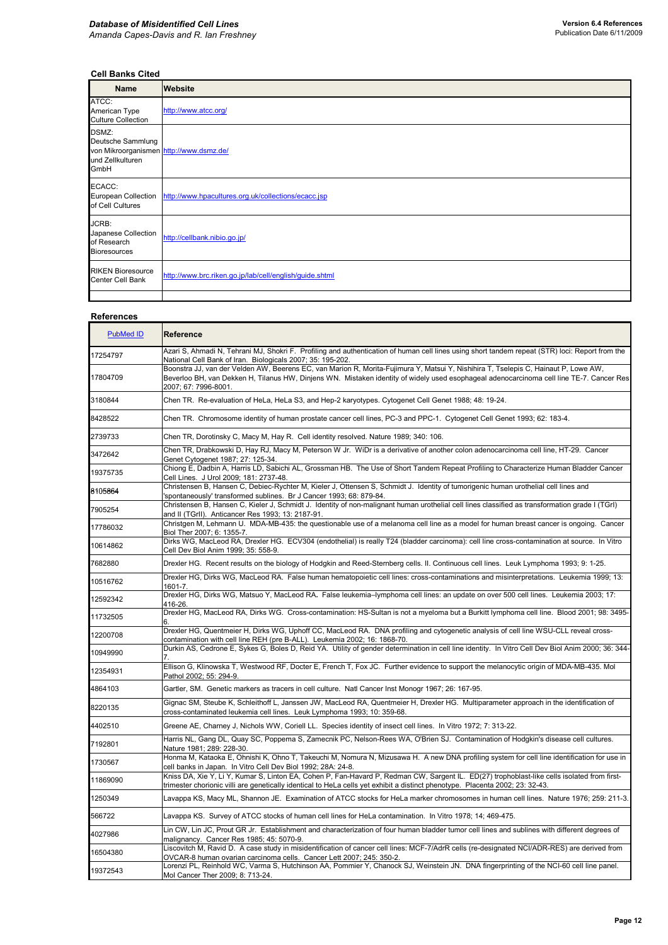# **Cell Banks Cited**

| <b>Name</b>                                                                                       | <b>Website</b>                                                          |
|---------------------------------------------------------------------------------------------------|-------------------------------------------------------------------------|
| ATCC:<br>American Type<br><b>Culture Collection</b>                                               | http://www.atcc.org/                                                    |
| DSMZ:<br>Deutsche Sammlung<br>von Mikroorganismen http://www.dsmz.de/<br>und Zellkulturen<br>GmbH |                                                                         |
| ECACC:<br>of Cell Cultures                                                                        | European Collection http://www.hpacultures.org.uk/collections/ecacc.jsp |
| JCRB:<br>Japanese Collection<br>of Research<br><b>Bioresources</b>                                | http://cellbank.nibio.go.jp/                                            |
| <b>RIKEN Bioresource</b><br>Center Cell Bank                                                      | http://www.brc.riken.go.jp/lab/cell/english/guide.shtml                 |
|                                                                                                   |                                                                         |

## **References**

| <b>PubMed ID</b> | Reference                                                                                                                                                                                                                                                                                               |
|------------------|---------------------------------------------------------------------------------------------------------------------------------------------------------------------------------------------------------------------------------------------------------------------------------------------------------|
| 17254797         | Azari S, Ahmadi N, Tehrani MJ, Shokri F. Profiling and authentication of human cell lines using short tandem repeat (STR) loci: Report from the<br>National Cell Bank of Iran. Biologicals 2007; 35: 195-202.                                                                                           |
| 17804709         | Boonstra JJ, van der Velden AW, Beerens EC, van Marion R, Morita-Fujimura Y, Matsui Y, Nishihira T, Tselepis C, Hainaut P, Lowe AW,<br>Beverloo BH, van Dekken H, Tilanus HW, Dinjens WN. Mistaken identity of widely used esophageal adenocarcinoma cell line TE-7. Cancer Res<br>2007; 67: 7996-8001. |
| 3180844          | Chen TR. Re-evaluation of HeLa, HeLa S3, and Hep-2 karyotypes. Cytogenet Cell Genet 1988; 48: 19-24.                                                                                                                                                                                                    |
| 8428522          | Chen TR. Chromosome identity of human prostate cancer cell lines, PC-3 and PPC-1. Cytogenet Cell Genet 1993; 62: 183-4.                                                                                                                                                                                 |
| 2739733          | Chen TR, Dorotinsky C, Macy M, Hay R. Cell identity resolved. Nature 1989; 340: 106.                                                                                                                                                                                                                    |
| 3472642          | Chen TR, Drabkowski D, Hay RJ, Macy M, Peterson W Jr. WiDr is a derivative of another colon adenocarcinoma cell line, HT-29. Cancer<br>Genet Cytogenet 1987; 27: 125-34.                                                                                                                                |
| 19375735         | Chiong E, Dadbin A, Harris LD, Sabichi AL, Grossman HB. The Use of Short Tandem Repeat Profiling to Characterize Human Bladder Cancer<br>Cell Lines. J Urol 2009; 181: 2737-48.                                                                                                                         |
| 8105864          | Christensen B, Hansen C, Debiec-Rychter M, Kieler J, Ottensen S, Schmidt J. Identity of tumorigenic human urothelial cell lines and<br>'spontaneously' transformed sublines. Br J Cancer 1993; 68: 879-84.                                                                                              |
| 7905254          | Christensen B, Hansen C, Kieler J, Schmidt J. Identity of non-malignant human urothelial cell lines classified as transformation grade I (TGrI)<br>and II (TGrII). Anticancer Res 1993; 13: 2187-91.                                                                                                    |
| 17786032         | Christgen M, Lehmann U. MDA-MB-435: the questionable use of a melanoma cell line as a model for human breast cancer is ongoing. Cancer<br>Biol Ther 2007: 6: 1355-7.                                                                                                                                    |
| 10614862         | Dirks WG, MacLeod RA, Drexler HG. ECV304 (endothelial) is really T24 (bladder carcinoma): cell line cross-contamination at source. In Vitro<br>Cell Dev Biol Anim 1999; 35: 558-9.                                                                                                                      |
| 7682880          | Drexler HG. Recent results on the biology of Hodgkin and Reed-Sternberg cells. II. Continuous cell lines. Leuk Lymphoma 1993; 9: 1-25.                                                                                                                                                                  |
| 10516762         | Drexler HG, Dirks WG, MacLeod RA. False human hematopoietic cell lines: cross-contaminations and misinterpretations. Leukemia 1999; 13:<br>1601-7.                                                                                                                                                      |
| 12592342         | Drexler HG, Dirks WG, Matsuo Y, MacLeod RA. False leukemia-lymphoma cell lines: an update on over 500 cell lines. Leukemia 2003; 17:<br>416-26.                                                                                                                                                         |
| 11732505         | Drexler HG, MacLeod RA, Dirks WG. Cross-contamination: HS-Sultan is not a myeloma but a Burkitt lymphoma cell line. Blood 2001; 98: 3495-                                                                                                                                                               |
| 12200708         | Drexler HG, Quentmeier H, Dirks WG, Uphoff CC, MacLeod RA. DNA profiling and cytogenetic analysis of cell line WSU-CLL reveal cross-<br>contamination with cell line REH (pre B-ALL). Leukemia 2002; 16: 1868-70.                                                                                       |
| 10949990         | Durkin AS, Cedrone E, Sykes G, Boles D, Reid YA. Utility of gender determination in cell line identity. In Vitro Cell Dev Biol Anim 2000; 36: 344-                                                                                                                                                      |
| 12354931         | Ellison G, Klinowska T, Westwood RF, Docter E, French T, Fox JC. Further evidence to support the melanocytic origin of MDA-MB-435. Mol<br>Pathol 2002; 55: 294-9.                                                                                                                                       |
| 4864103          | Gartler, SM. Genetic markers as tracers in cell culture. Natl Cancer Inst Monogr 1967; 26: 167-95.                                                                                                                                                                                                      |
| 8220135          | Gignac SM, Steube K, Schleithoff L, Janssen JW, MacLeod RA, Quentmeier H, Drexler HG. Multiparameter approach in the identification of<br>cross-contaminated leukemia cell lines. Leuk Lymphoma 1993; 10: 359-68.                                                                                       |
| 4402510          | Greene AE, Charney J, Nichols WW, Coriell LL. Species identity of insect cell lines. In Vitro 1972; 7: 313-22.                                                                                                                                                                                          |
| 7192801          | Harris NL, Gang DL, Quay SC, Poppema S, Zamecnik PC, Nelson-Rees WA, O'Brien SJ. Contamination of Hodgkin's disease cell cultures.<br>Nature 1981; 289: 228-30.                                                                                                                                         |
| 1730567          | Honma M, Kataoka E, Ohnishi K, Ohno T, Takeuchi M, Nomura N, Mizusawa H. A new DNA profiling system for cell line identification for use in<br>cell banks in Japan. In Vitro Cell Dev Biol 1992; 28A: 24-8.                                                                                             |
| 11869090         | Kniss DA, Xie Y, Li Y, Kumar S, Linton EA, Cohen P, Fan-Havard P, Redman CW, Sargent IL. ED(27) trophoblast-like cells isolated from first-<br>trimester chorionic villi are genetically identical to HeLa cells yet exhibit a distinct phenotype. Placenta 2002; 23: 32-43.                            |
| 1250349          | Lavappa KS, Macy ML, Shannon JE. Examination of ATCC stocks for HeLa marker chromosomes in human cell lines. Nature 1976; 259: 211-3.                                                                                                                                                                   |
| 566722           | Lavappa KS. Survey of ATCC stocks of human cell lines for HeLa contamination. In Vitro 1978; 14; 469-475.                                                                                                                                                                                               |
| 4027986          | Lin CW, Lin JC, Prout GR Jr. Establishment and characterization of four human bladder tumor cell lines and sublines with different degrees of<br>malignancy. Cancer Res 1985; 45: 5070-9.                                                                                                               |
| 16504380         | Liscovitch M, Ravid D. A case study in misidentification of cancer cell lines: MCF-7/AdrR cells (re-designated NCI/ADR-RES) are derived from<br>OVCAR-8 human ovarian carcinoma cells. Cancer Lett 2007; 245: 350-2.                                                                                    |
| 19372543         | Lorenzi PL, Reinhold WC, Varma S, Hutchinson AA, Pommier Y, Chanock SJ, Weinstein JN. DNA fingerprinting of the NCI-60 cell line panel.<br>Mol Cancer Ther 2009; 8: 713-24.                                                                                                                             |